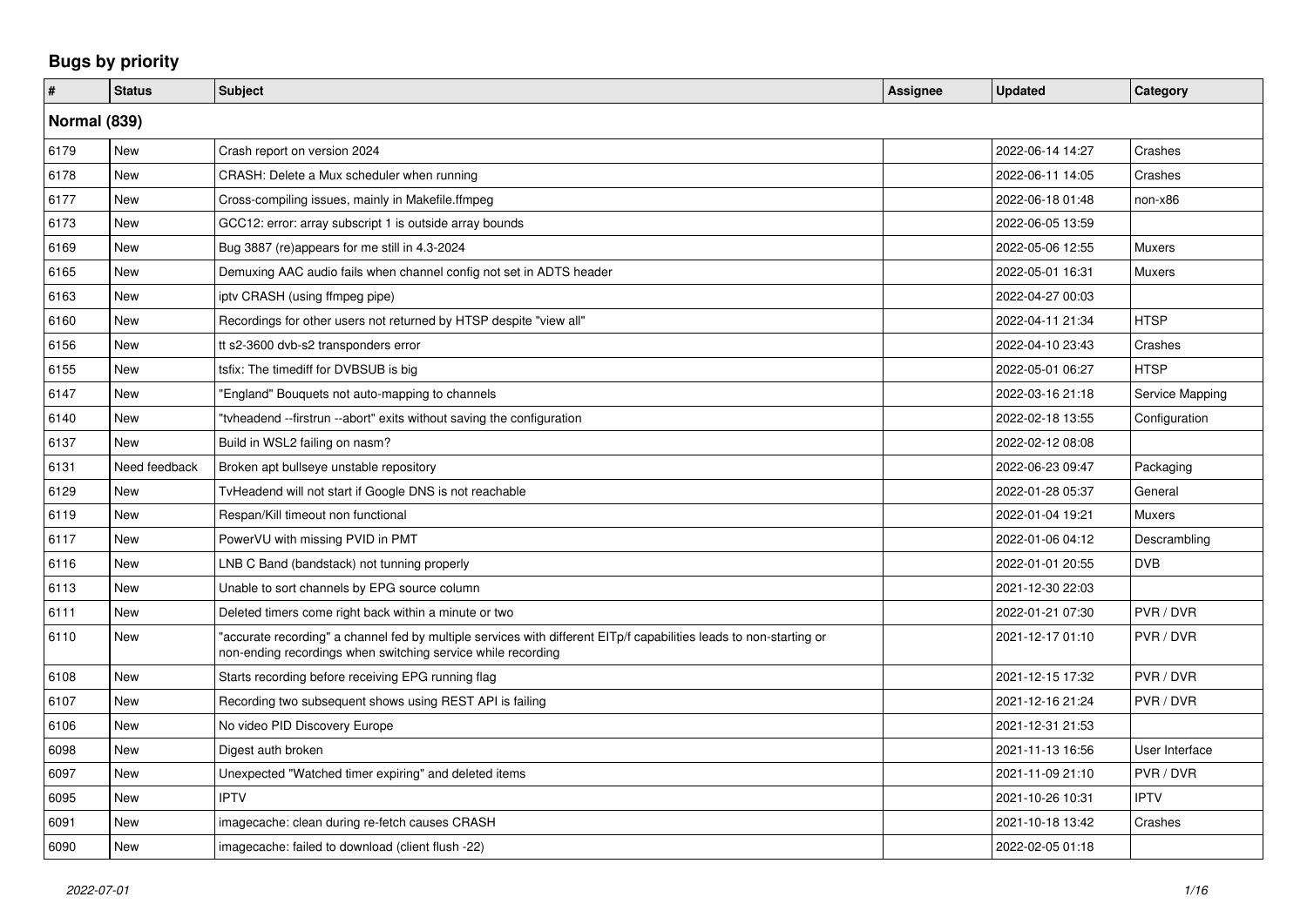## **Bugs by priority**

| #    | <b>Status</b> | <b>Subject</b>                                                                                                                                                                      | Assignee | <b>Updated</b>   | Category        |  |  |
|------|---------------|-------------------------------------------------------------------------------------------------------------------------------------------------------------------------------------|----------|------------------|-----------------|--|--|
|      | Normal (839)  |                                                                                                                                                                                     |          |                  |                 |  |  |
| 6179 | <b>New</b>    | Crash report on version 2024                                                                                                                                                        |          | 2022-06-14 14:27 | Crashes         |  |  |
| 6178 | <b>New</b>    | CRASH: Delete a Mux scheduler when running                                                                                                                                          |          | 2022-06-11 14:05 | Crashes         |  |  |
| 6177 | <b>New</b>    | Cross-compiling issues, mainly in Makefile.ffmpeg                                                                                                                                   |          | 2022-06-18 01:48 | non-x86         |  |  |
| 6173 | New           | GCC12: error: array subscript 1 is outside array bounds                                                                                                                             |          | 2022-06-05 13:59 |                 |  |  |
| 6169 | New           | Bug 3887 (re)appears for me still in 4.3-2024                                                                                                                                       |          | 2022-05-06 12:55 | Muxers          |  |  |
| 6165 | <b>New</b>    | Demuxing AAC audio fails when channel config not set in ADTS header                                                                                                                 |          | 2022-05-01 16:31 | <b>Muxers</b>   |  |  |
| 6163 | <b>New</b>    | iptv CRASH (using ffmpeg pipe)                                                                                                                                                      |          | 2022-04-27 00:03 |                 |  |  |
| 6160 | New           | Recordings for other users not returned by HTSP despite "view all"                                                                                                                  |          | 2022-04-11 21:34 | <b>HTSP</b>     |  |  |
| 6156 | New           | tt s2-3600 dvb-s2 transponders error                                                                                                                                                |          | 2022-04-10 23:43 | Crashes         |  |  |
| 6155 | <b>New</b>    | tsfix: The timediff for DVBSUB is big                                                                                                                                               |          | 2022-05-01 06:27 | <b>HTSP</b>     |  |  |
| 6147 | New           | "England" Bouquets not auto-mapping to channels                                                                                                                                     |          | 2022-03-16 21:18 | Service Mapping |  |  |
| 6140 | New           | "tyheadend --firstrun --abort" exits without saving the configuration                                                                                                               |          | 2022-02-18 13:55 | Configuration   |  |  |
| 6137 | <b>New</b>    | Build in WSL2 failing on nasm?                                                                                                                                                      |          | 2022-02-12 08:08 |                 |  |  |
| 6131 | Need feedback | Broken apt bullseye unstable repository                                                                                                                                             |          | 2022-06-23 09:47 | Packaging       |  |  |
| 6129 | <b>New</b>    | TyHeadend will not start if Google DNS is not reachable                                                                                                                             |          | 2022-01-28 05:37 | General         |  |  |
| 6119 | <b>New</b>    | Respan/Kill timeout non functional                                                                                                                                                  |          | 2022-01-04 19:21 | <b>Muxers</b>   |  |  |
| 6117 | <b>New</b>    | PowerVU with missing PVID in PMT                                                                                                                                                    |          | 2022-01-06 04:12 | Descrambling    |  |  |
| 6116 | <b>New</b>    | LNB C Band (bandstack) not tunning properly                                                                                                                                         |          | 2022-01-01 20:55 | <b>DVB</b>      |  |  |
| 6113 | <b>New</b>    | Unable to sort channels by EPG source column                                                                                                                                        |          | 2021-12-30 22:03 |                 |  |  |
| 6111 | <b>New</b>    | Deleted timers come right back within a minute or two                                                                                                                               |          | 2022-01-21 07:30 | PVR / DVR       |  |  |
| 6110 | New           | 'accurate recording" a channel fed by multiple services with different EITp/f capabilities leads to non-starting or<br>non-ending recordings when switching service while recording |          | 2021-12-17 01:10 | PVR / DVR       |  |  |
| 6108 | <b>New</b>    | Starts recording before receiving EPG running flag                                                                                                                                  |          | 2021-12-15 17:32 | PVR / DVR       |  |  |
| 6107 | <b>New</b>    | Recording two subsequent shows using REST API is failing                                                                                                                            |          | 2021-12-16 21:24 | PVR / DVR       |  |  |
| 6106 | <b>New</b>    | No video PID Discovery Europe                                                                                                                                                       |          | 2021-12-31 21:53 |                 |  |  |
| 6098 | <b>New</b>    | Digest auth broken                                                                                                                                                                  |          | 2021-11-13 16:56 | User Interface  |  |  |
| 6097 | New           | Unexpected "Watched timer expiring" and deleted items                                                                                                                               |          | 2021-11-09 21:10 | PVR / DVR       |  |  |
| 6095 | New           | <b>IPTV</b>                                                                                                                                                                         |          | 2021-10-26 10:31 | <b>IPTV</b>     |  |  |
| 6091 | <b>New</b>    | imagecache: clean during re-fetch causes CRASH                                                                                                                                      |          | 2021-10-18 13:42 | Crashes         |  |  |
| 6090 | New           | imagecache: failed to download (client flush -22)                                                                                                                                   |          | 2022-02-05 01:18 |                 |  |  |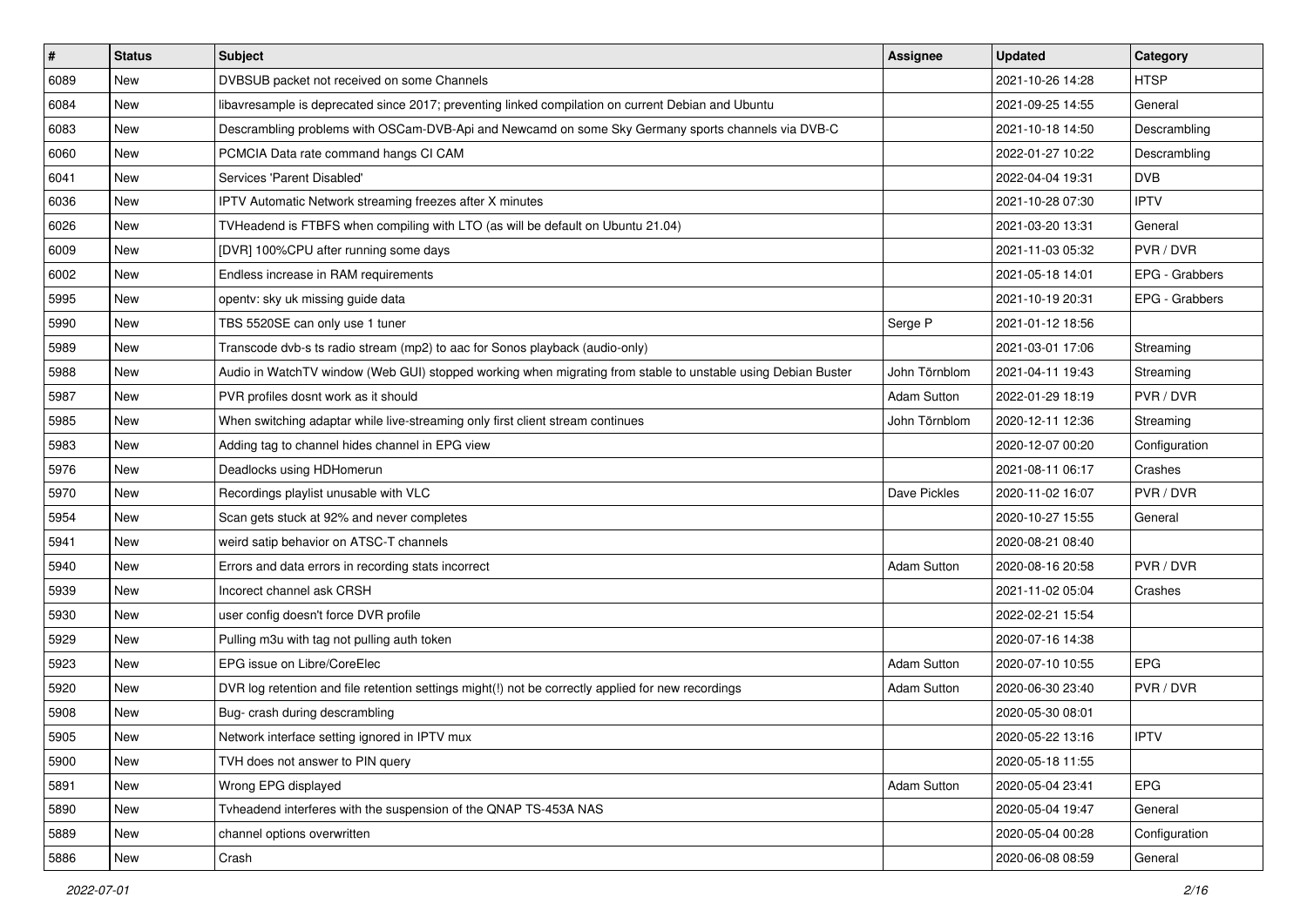| $\pmb{\#}$ | <b>Status</b> | Subject                                                                                                      | <b>Assignee</b>    | <b>Updated</b>   | Category       |
|------------|---------------|--------------------------------------------------------------------------------------------------------------|--------------------|------------------|----------------|
| 6089       | New           | DVBSUB packet not received on some Channels                                                                  |                    | 2021-10-26 14:28 | <b>HTSP</b>    |
| 6084       | <b>New</b>    | libavresample is deprecated since 2017; preventing linked compilation on current Debian and Ubuntu           |                    | 2021-09-25 14:55 | General        |
| 6083       | New           | Descrambling problems with OSCam-DVB-Api and Newcamd on some Sky Germany sports channels via DVB-C           |                    | 2021-10-18 14:50 | Descrambling   |
| 6060       | New           | PCMCIA Data rate command hangs CI CAM                                                                        |                    | 2022-01-27 10:22 | Descrambling   |
| 6041       | <b>New</b>    | Services 'Parent Disabled'                                                                                   |                    | 2022-04-04 19:31 | <b>DVB</b>     |
| 6036       | New           | <b>IPTV Automatic Network streaming freezes after X minutes</b>                                              |                    | 2021-10-28 07:30 | <b>IPTV</b>    |
| 6026       | <b>New</b>    | TVHeadend is FTBFS when compiling with LTO (as will be default on Ubuntu 21.04)                              |                    | 2021-03-20 13:31 | General        |
| 6009       | New           | [DVR] 100%CPU after running some days                                                                        |                    | 2021-11-03 05:32 | PVR / DVR      |
| 6002       | <b>New</b>    | Endless increase in RAM requirements                                                                         |                    | 2021-05-18 14:01 | EPG - Grabbers |
| 5995       | New           | opentv: sky uk missing guide data                                                                            |                    | 2021-10-19 20:31 | EPG - Grabbers |
| 5990       | New           | TBS 5520SE can only use 1 tuner                                                                              | Serge P            | 2021-01-12 18:56 |                |
| 5989       | New           | Transcode dvb-s ts radio stream (mp2) to aac for Sonos playback (audio-only)                                 |                    | 2021-03-01 17:06 | Streaming      |
| 5988       | New           | Audio in WatchTV window (Web GUI) stopped working when migrating from stable to unstable using Debian Buster | John Törnblom      | 2021-04-11 19:43 | Streaming      |
| 5987       | New           | PVR profiles dosnt work as it should                                                                         | <b>Adam Sutton</b> | 2022-01-29 18:19 | PVR / DVR      |
| 5985       | New           | When switching adaptar while live-streaming only first client stream continues                               | John Törnblom      | 2020-12-11 12:36 | Streaming      |
| 5983       | New           | Adding tag to channel hides channel in EPG view                                                              |                    | 2020-12-07 00:20 | Configuration  |
| 5976       | New           | Deadlocks using HDHomerun                                                                                    |                    | 2021-08-11 06:17 | Crashes        |
| 5970       | New           | Recordings playlist unusable with VLC                                                                        | Dave Pickles       | 2020-11-02 16:07 | PVR / DVR      |
| 5954       | New           | Scan gets stuck at 92% and never completes                                                                   |                    | 2020-10-27 15:55 | General        |
| 5941       | <b>New</b>    | weird satip behavior on ATSC-T channels                                                                      |                    | 2020-08-21 08:40 |                |
| 5940       | New           | Errors and data errors in recording stats incorrect                                                          | <b>Adam Sutton</b> | 2020-08-16 20:58 | PVR / DVR      |
| 5939       | <b>New</b>    | Incorect channel ask CRSH                                                                                    |                    | 2021-11-02 05:04 | Crashes        |
| 5930       | <b>New</b>    | user config doesn't force DVR profile                                                                        |                    | 2022-02-21 15:54 |                |
| 5929       | New           | Pulling m3u with tag not pulling auth token                                                                  |                    | 2020-07-16 14:38 |                |
| 5923       | <b>New</b>    | EPG issue on Libre/CoreElec                                                                                  | <b>Adam Sutton</b> | 2020-07-10 10:55 | <b>EPG</b>     |
| 5920       | New           | DVR log retention and file retention settings might(!) not be correctly applied for new recordings           | <b>Adam Sutton</b> | 2020-06-30 23:40 | PVR / DVR      |
| 5908       | New           | Bug- crash during descrambling                                                                               |                    | 2020-05-30 08:01 |                |
| 5905       | New           | Network interface setting ignored in IPTV mux                                                                |                    | 2020-05-22 13:16 | <b>IPTV</b>    |
| 5900       | New           | TVH does not answer to PIN query                                                                             |                    | 2020-05-18 11:55 |                |
| 5891       | New           | Wrong EPG displayed                                                                                          | Adam Sutton        | 2020-05-04 23:41 | EPG            |
| 5890       | New           | Tvheadend interferes with the suspension of the QNAP TS-453A NAS                                             |                    | 2020-05-04 19:47 | General        |
| 5889       | New           | channel options overwritten                                                                                  |                    | 2020-05-04 00:28 | Configuration  |
| 5886       | New           | Crash                                                                                                        |                    | 2020-06-08 08:59 | General        |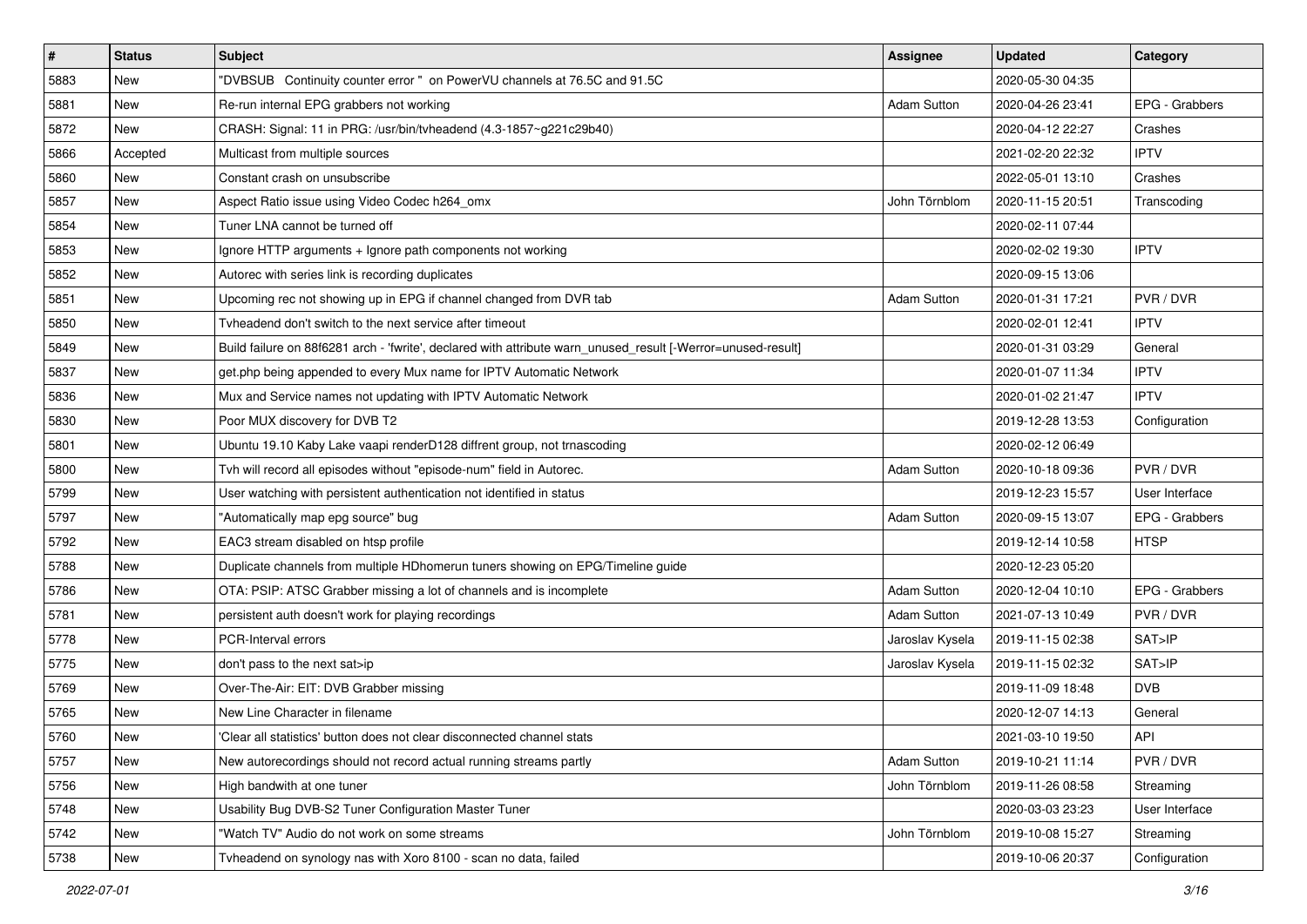| $\sharp$ | <b>Status</b> | <b>Subject</b>                                                                                               | Assignee           | <b>Updated</b>   | Category       |
|----------|---------------|--------------------------------------------------------------------------------------------------------------|--------------------|------------------|----------------|
| 5883     | New           | "DVBSUB Continuity counter error " on PowerVU channels at 76.5C and 91.5C                                    |                    | 2020-05-30 04:35 |                |
| 5881     | <b>New</b>    | Re-run internal EPG grabbers not working                                                                     | <b>Adam Sutton</b> | 2020-04-26 23:41 | EPG - Grabbers |
| 5872     | New           | CRASH: Signal: 11 in PRG: /usr/bin/tvheadend (4.3-1857~g221c29b40)                                           |                    | 2020-04-12 22:27 | Crashes        |
| 5866     | Accepted      | Multicast from multiple sources                                                                              |                    | 2021-02-20 22:32 | <b>IPTV</b>    |
| 5860     | <b>New</b>    | Constant crash on unsubscribe                                                                                |                    | 2022-05-01 13:10 | Crashes        |
| 5857     | New           | Aspect Ratio issue using Video Codec h264 omx                                                                | John Törnblom      | 2020-11-15 20:51 | Transcoding    |
| 5854     | <b>New</b>    | Tuner LNA cannot be turned off                                                                               |                    | 2020-02-11 07:44 |                |
| 5853     | New           | Ignore HTTP arguments + Ignore path components not working                                                   |                    | 2020-02-02 19:30 | <b>IPTV</b>    |
| 5852     | <b>New</b>    | Autorec with series link is recording duplicates                                                             |                    | 2020-09-15 13:06 |                |
| 5851     | New           | Upcoming rec not showing up in EPG if channel changed from DVR tab                                           | <b>Adam Sutton</b> | 2020-01-31 17:21 | PVR / DVR      |
| 5850     | <b>New</b>    | Tyheadend don't switch to the next service after timeout                                                     |                    | 2020-02-01 12:41 | <b>IPTV</b>    |
| 5849     | New           | Build failure on 88f6281 arch - 'fwrite', declared with attribute warn_unused_result [-Werror=unused-result] |                    | 2020-01-31 03:29 | General        |
| 5837     | New           | get.php being appended to every Mux name for IPTV Automatic Network                                          |                    | 2020-01-07 11:34 | <b>IPTV</b>    |
| 5836     | New           | Mux and Service names not updating with IPTV Automatic Network                                               |                    | 2020-01-02 21:47 | <b>IPTV</b>    |
| 5830     | New           | Poor MUX discovery for DVB T2                                                                                |                    | 2019-12-28 13:53 | Configuration  |
| 5801     | New           | Ubuntu 19.10 Kaby Lake vaapi renderD128 diffrent group, not trnascoding                                      |                    | 2020-02-12 06:49 |                |
| 5800     | New           | Tvh will record all episodes without "episode-num" field in Autorec.                                         | <b>Adam Sutton</b> | 2020-10-18 09:36 | PVR / DVR      |
| 5799     | <b>New</b>    | User watching with persistent authentication not identified in status                                        |                    | 2019-12-23 15:57 | User Interface |
| 5797     | New           | "Automatically map epg source" bug                                                                           | <b>Adam Sutton</b> | 2020-09-15 13:07 | EPG - Grabbers |
| 5792     | <b>New</b>    | EAC3 stream disabled on htsp profile                                                                         |                    | 2019-12-14 10:58 | <b>HTSP</b>    |
| 5788     | New           | Duplicate channels from multiple HDhomerun tuners showing on EPG/Timeline guide                              |                    | 2020-12-23 05:20 |                |
| 5786     | <b>New</b>    | OTA: PSIP: ATSC Grabber missing a lot of channels and is incomplete                                          | <b>Adam Sutton</b> | 2020-12-04 10:10 | EPG - Grabbers |
| 5781     | <b>New</b>    | persistent auth doesn't work for playing recordings                                                          | <b>Adam Sutton</b> | 2021-07-13 10:49 | PVR / DVR      |
| 5778     | New           | PCR-Interval errors                                                                                          | Jaroslav Kysela    | 2019-11-15 02:38 | SAT>IP         |
| 5775     | <b>New</b>    | don't pass to the next sat>ip                                                                                | Jaroslav Kysela    | 2019-11-15 02:32 | SAT>IP         |
| 5769     | New           | Over-The-Air: EIT: DVB Grabber missing                                                                       |                    | 2019-11-09 18:48 | <b>DVB</b>     |
| 5765     | New           | New Line Character in filename                                                                               |                    | 2020-12-07 14:13 | General        |
| 5760     | New           | 'Clear all statistics' button does not clear disconnected channel stats                                      |                    | 2021-03-10 19:50 | API            |
| 5757     | New           | New autorecordings should not record actual running streams partly                                           | <b>Adam Sutton</b> | 2019-10-21 11:14 | PVR / DVR      |
| 5756     | New           | High bandwith at one tuner                                                                                   | John Törnblom      | 2019-11-26 08:58 | Streaming      |
| 5748     | New           | Usability Bug DVB-S2 Tuner Configuration Master Tuner                                                        |                    | 2020-03-03 23:23 | User Interface |
| 5742     | New           | "Watch TV" Audio do not work on some streams                                                                 | John Törnblom      | 2019-10-08 15:27 | Streaming      |
| 5738     | New           | Tvheadend on synology nas with Xoro 8100 - scan no data, failed                                              |                    | 2019-10-06 20:37 | Configuration  |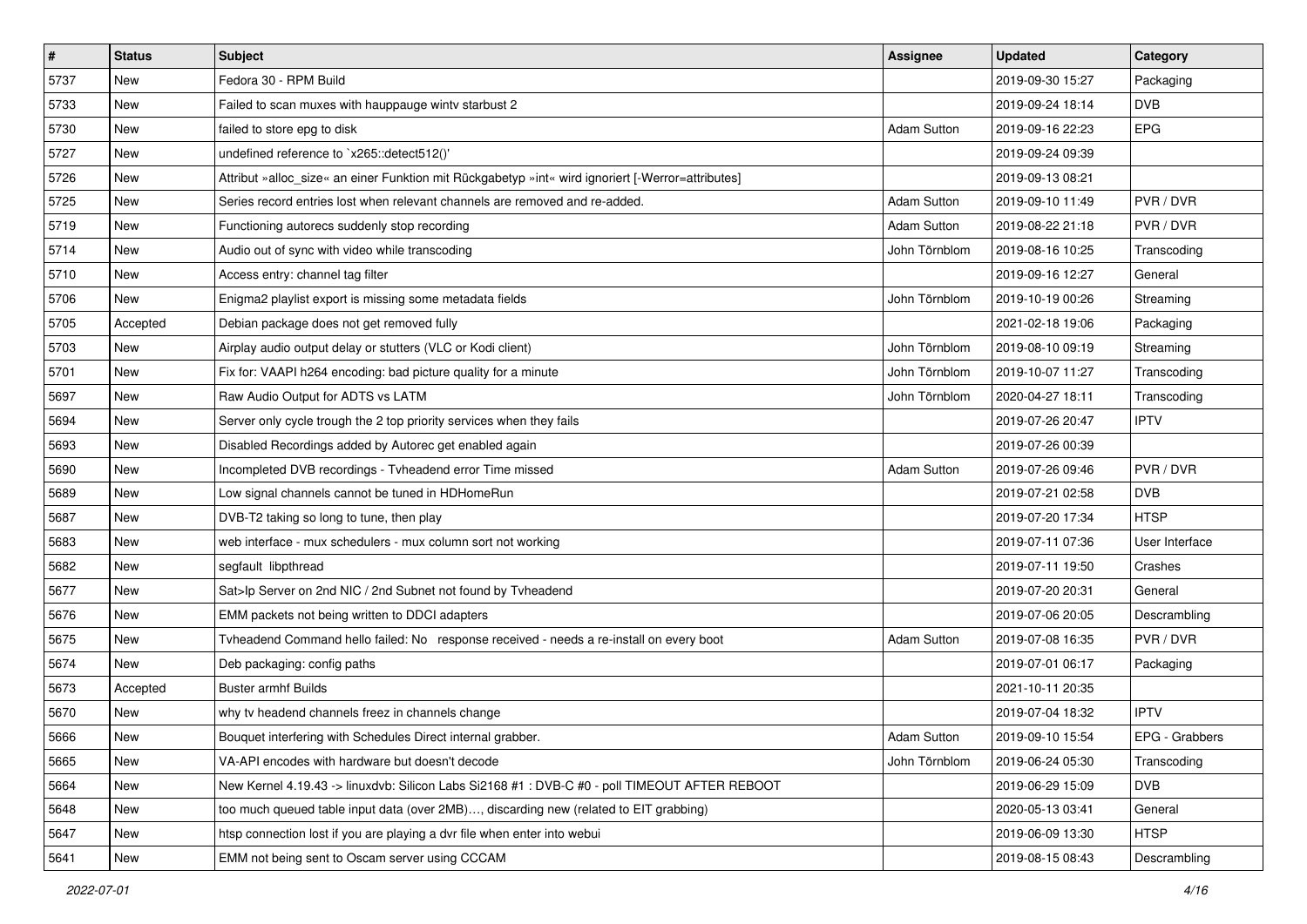| $\sharp$ | <b>Status</b> | <b>Subject</b>                                                                                    | <b>Assignee</b>    | <b>Updated</b>   | Category       |
|----------|---------------|---------------------------------------------------------------------------------------------------|--------------------|------------------|----------------|
| 5737     | New           | Fedora 30 - RPM Build                                                                             |                    | 2019-09-30 15:27 | Packaging      |
| 5733     | <b>New</b>    | Failed to scan muxes with hauppauge wintv starbust 2                                              |                    | 2019-09-24 18:14 | <b>DVB</b>     |
| 5730     | New           | failed to store epg to disk                                                                       | <b>Adam Sutton</b> | 2019-09-16 22:23 | <b>EPG</b>     |
| 5727     | New           | undefined reference to `x265::detect512()'                                                        |                    | 2019-09-24 09:39 |                |
| 5726     | <b>New</b>    | Attribut »alloc_size« an einer Funktion mit Rückgabetyp »int« wird ignoriert [-Werror=attributes] |                    | 2019-09-13 08:21 |                |
| 5725     | New           | Series record entries lost when relevant channels are removed and re-added.                       | <b>Adam Sutton</b> | 2019-09-10 11:49 | PVR / DVR      |
| 5719     | <b>New</b>    | Functioning autorecs suddenly stop recording                                                      | <b>Adam Sutton</b> | 2019-08-22 21:18 | PVR / DVR      |
| 5714     | New           | Audio out of sync with video while transcoding                                                    | John Törnblom      | 2019-08-16 10:25 | Transcoding    |
| 5710     | <b>New</b>    | Access entry: channel tag filter                                                                  |                    | 2019-09-16 12:27 | General        |
| 5706     | <b>New</b>    | Enigma2 playlist export is missing some metadata fields                                           | John Törnblom      | 2019-10-19 00:26 | Streaming      |
| 5705     | Accepted      | Debian package does not get removed fully                                                         |                    | 2021-02-18 19:06 | Packaging      |
| 5703     | <b>New</b>    | Airplay audio output delay or stutters (VLC or Kodi client)                                       | John Törnblom      | 2019-08-10 09:19 | Streaming      |
| 5701     | New           | Fix for: VAAPI h264 encoding: bad picture quality for a minute                                    | John Törnblom      | 2019-10-07 11:27 | Transcoding    |
| 5697     | New           | Raw Audio Output for ADTS vs LATM                                                                 | John Törnblom      | 2020-04-27 18:11 | Transcoding    |
| 5694     | New           | Server only cycle trough the 2 top priority services when they fails                              |                    | 2019-07-26 20:47 | <b>IPTV</b>    |
| 5693     | New           | Disabled Recordings added by Autorec get enabled again                                            |                    | 2019-07-26 00:39 |                |
| 5690     | New           | Incompleted DVB recordings - Tvheadend error Time missed                                          | <b>Adam Sutton</b> | 2019-07-26 09:46 | PVR / DVR      |
| 5689     | <b>New</b>    | Low signal channels cannot be tuned in HDHomeRun                                                  |                    | 2019-07-21 02:58 | <b>DVB</b>     |
| 5687     | New           | DVB-T2 taking so long to tune, then play                                                          |                    | 2019-07-20 17:34 | <b>HTSP</b>    |
| 5683     | <b>New</b>    | web interface - mux schedulers - mux column sort not working                                      |                    | 2019-07-11 07:36 | User Interface |
| 5682     | New           | segfault libpthread                                                                               |                    | 2019-07-11 19:50 | Crashes        |
| 5677     | <b>New</b>    | Sat>lp Server on 2nd NIC / 2nd Subnet not found by Tvheadend                                      |                    | 2019-07-20 20:31 | General        |
| 5676     | <b>New</b>    | EMM packets not being written to DDCI adapters                                                    |                    | 2019-07-06 20:05 | Descrambling   |
| 5675     | New           | Tvheadend Command hello failed: No response received - needs a re-install on every boot           | <b>Adam Sutton</b> | 2019-07-08 16:35 | PVR / DVR      |
| 5674     | <b>New</b>    | Deb packaging: config paths                                                                       |                    | 2019-07-01 06:17 | Packaging      |
| 5673     | Accepted      | <b>Buster armhf Builds</b>                                                                        |                    | 2021-10-11 20:35 |                |
| 5670     | New           | why tv headend channels freez in channels change                                                  |                    | 2019-07-04 18:32 | <b>IPTV</b>    |
| 5666     | New           | Bouquet interfering with Schedules Direct internal grabber.                                       | Adam Sutton        | 2019-09-10 15:54 | EPG - Grabbers |
| 5665     | New           | VA-API encodes with hardware but doesn't decode                                                   | John Törnblom      | 2019-06-24 05:30 | Transcoding    |
| 5664     | New           | New Kernel 4.19.43 -> linuxdvb: Silicon Labs Si2168 #1 : DVB-C #0 - poll TIMEOUT AFTER REBOOT     |                    | 2019-06-29 15:09 | <b>DVB</b>     |
| 5648     | New           | too much queued table input data (over 2MB), discarding new (related to EIT grabbing)             |                    | 2020-05-13 03:41 | General        |
| 5647     | New           | htsp connection lost if you are playing a dvr file when enter into webui                          |                    | 2019-06-09 13:30 | <b>HTSP</b>    |
| 5641     | New           | EMM not being sent to Oscam server using CCCAM                                                    |                    | 2019-08-15 08:43 | Descrambling   |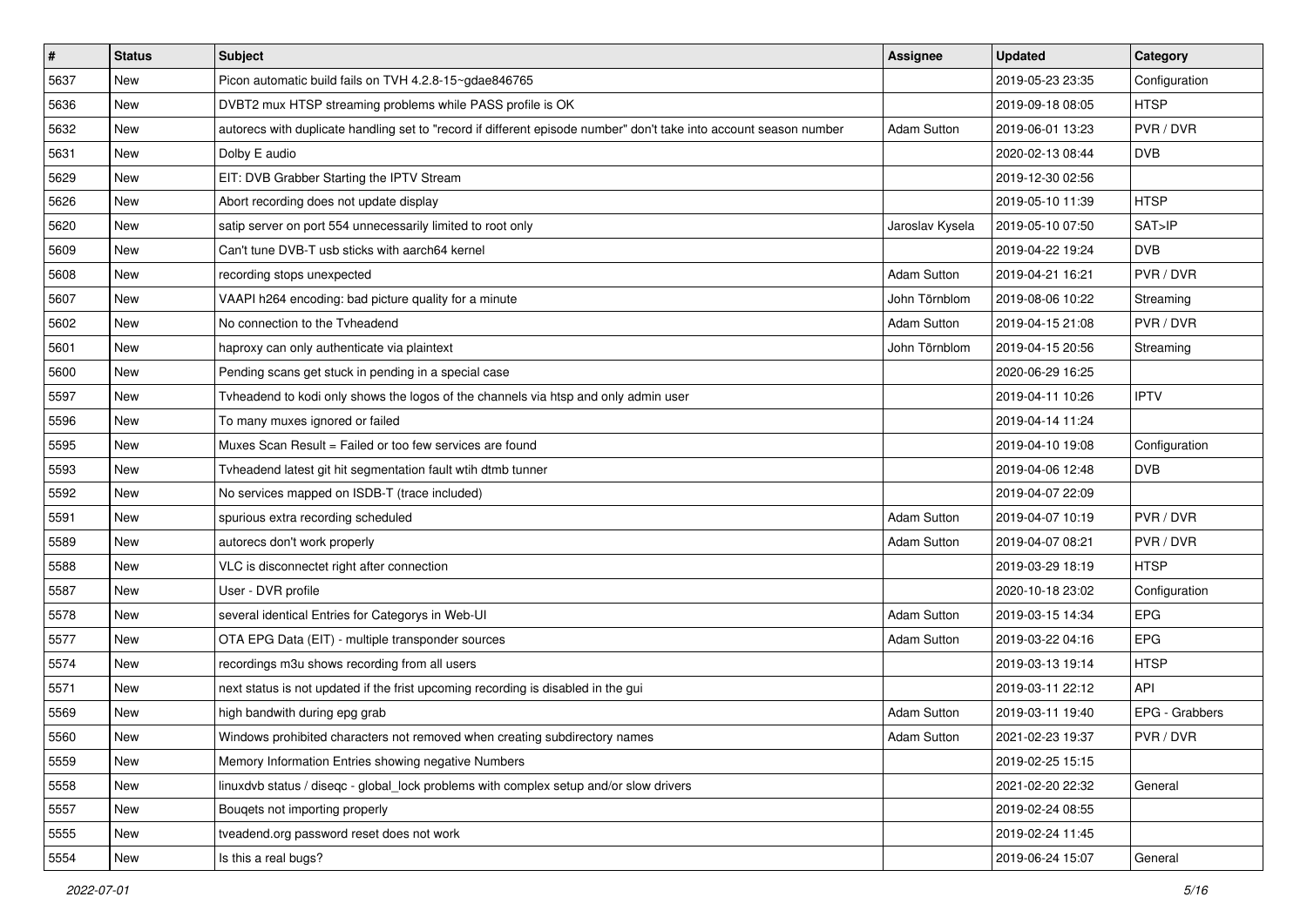| $\vert$ # | <b>Status</b> | <b>Subject</b>                                                                                                     | <b>Assignee</b>    | <b>Updated</b>   | Category       |
|-----------|---------------|--------------------------------------------------------------------------------------------------------------------|--------------------|------------------|----------------|
| 5637      | New           | Picon automatic build fails on TVH 4.2.8-15~gdae846765                                                             |                    | 2019-05-23 23:35 | Configuration  |
| 5636      | <b>New</b>    | DVBT2 mux HTSP streaming problems while PASS profile is OK                                                         |                    | 2019-09-18 08:05 | <b>HTSP</b>    |
| 5632      | New           | autorecs with duplicate handling set to "record if different episode number" don't take into account season number | <b>Adam Sutton</b> | 2019-06-01 13:23 | PVR / DVR      |
| 5631      | <b>New</b>    | Dolby E audio                                                                                                      |                    | 2020-02-13 08:44 | <b>DVB</b>     |
| 5629      | <b>New</b>    | EIT: DVB Grabber Starting the IPTV Stream                                                                          |                    | 2019-12-30 02:56 |                |
| 5626      | <b>New</b>    | Abort recording does not update display                                                                            |                    | 2019-05-10 11:39 | HTSP           |
| 5620      | New           | satip server on port 554 unnecessarily limited to root only                                                        | Jaroslav Kysela    | 2019-05-10 07:50 | SAT>IP         |
| 5609      | New           | Can't tune DVB-T usb sticks with aarch64 kernel                                                                    |                    | 2019-04-22 19:24 | <b>DVB</b>     |
| 5608      | <b>New</b>    | recording stops unexpected                                                                                         | Adam Sutton        | 2019-04-21 16:21 | PVR / DVR      |
| 5607      | <b>New</b>    | VAAPI h264 encoding: bad picture quality for a minute                                                              | John Törnblom      | 2019-08-06 10:22 | Streaming      |
| 5602      | <b>New</b>    | No connection to the Tyheadend                                                                                     | <b>Adam Sutton</b> | 2019-04-15 21:08 | PVR / DVR      |
| 5601      | New           | haproxy can only authenticate via plaintext                                                                        | John Törnblom      | 2019-04-15 20:56 | Streaming      |
| 5600      | <b>New</b>    | Pending scans get stuck in pending in a special case                                                               |                    | 2020-06-29 16:25 |                |
| 5597      | New           | Tvheadend to kodi only shows the logos of the channels via htsp and only admin user                                |                    | 2019-04-11 10:26 | <b>IPTV</b>    |
| 5596      | <b>New</b>    | To many muxes ignored or failed                                                                                    |                    | 2019-04-14 11:24 |                |
| 5595      | New           | Muxes Scan Result = Failed or too few services are found                                                           |                    | 2019-04-10 19:08 | Configuration  |
| 5593      | <b>New</b>    | Tvheadend latest git hit segmentation fault wtih dtmb tunner                                                       |                    | 2019-04-06 12:48 | <b>DVB</b>     |
| 5592      | <b>New</b>    | No services mapped on ISDB-T (trace included)                                                                      |                    | 2019-04-07 22:09 |                |
| 5591      | New           | spurious extra recording scheduled                                                                                 | <b>Adam Sutton</b> | 2019-04-07 10:19 | PVR / DVR      |
| 5589      | <b>New</b>    | autorecs don't work properly                                                                                       | <b>Adam Sutton</b> | 2019-04-07 08:21 | PVR / DVR      |
| 5588      | New           | VLC is disconnectet right after connection                                                                         |                    | 2019-03-29 18:19 | <b>HTSP</b>    |
| 5587      | <b>New</b>    | User - DVR profile                                                                                                 |                    | 2020-10-18 23:02 | Configuration  |
| 5578      | <b>New</b>    | several identical Entries for Categorys in Web-UI                                                                  | Adam Sutton        | 2019-03-15 14:34 | <b>EPG</b>     |
| 5577      | New           | OTA EPG Data (EIT) - multiple transponder sources                                                                  | <b>Adam Sutton</b> | 2019-03-22 04:16 | <b>EPG</b>     |
| 5574      | New           | recordings m3u shows recording from all users                                                                      |                    | 2019-03-13 19:14 | <b>HTSP</b>    |
| 5571      | <b>New</b>    | next status is not updated if the frist upcoming recording is disabled in the gui                                  |                    | 2019-03-11 22:12 | <b>API</b>     |
| 5569      | New           | high bandwith during epg grab                                                                                      | <b>Adam Sutton</b> | 2019-03-11 19:40 | EPG - Grabbers |
| 5560      | New           | Windows prohibited characters not removed when creating subdirectory names                                         | Adam Sutton        | 2021-02-23 19:37 | PVR / DVR      |
| 5559      | New           | Memory Information Entries showing negative Numbers                                                                |                    | 2019-02-25 15:15 |                |
| 5558      | New           | linuxdvb status / diseqc - global lock problems with complex setup and/or slow drivers                             |                    | 2021-02-20 22:32 | General        |
| 5557      | New           | Bougets not importing properly                                                                                     |                    | 2019-02-24 08:55 |                |
| 5555      | New           | tveadend.org password reset does not work                                                                          |                    | 2019-02-24 11:45 |                |
| 5554      | New           | Is this a real bugs?                                                                                               |                    | 2019-06-24 15:07 | General        |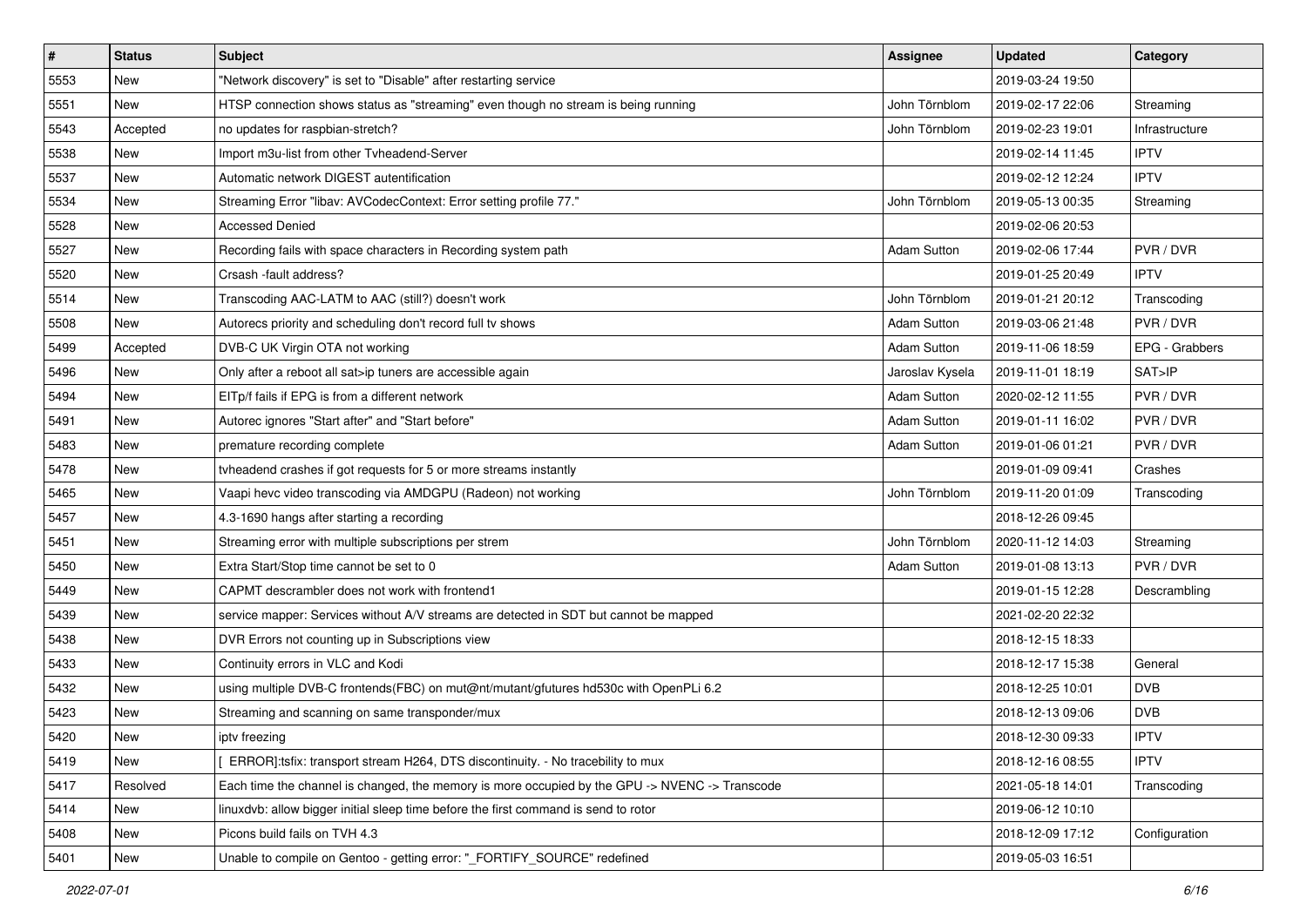| $\#$ | <b>Status</b> | Subject                                                                                        | <b>Assignee</b>    | <b>Updated</b>   | Category       |
|------|---------------|------------------------------------------------------------------------------------------------|--------------------|------------------|----------------|
| 5553 | New           | "Network discovery" is set to "Disable" after restarting service                               |                    | 2019-03-24 19:50 |                |
| 5551 | New           | HTSP connection shows status as "streaming" even though no stream is being running             | John Törnblom      | 2019-02-17 22:06 | Streaming      |
| 5543 | Accepted      | no updates for raspbian-stretch?                                                               | John Törnblom      | 2019-02-23 19:01 | Infrastructure |
| 5538 | New           | Import m3u-list from other Tvheadend-Server                                                    |                    | 2019-02-14 11:45 | <b>IPTV</b>    |
| 5537 | New           | Automatic network DIGEST autentification                                                       |                    | 2019-02-12 12:24 | <b>IPTV</b>    |
| 5534 | New           | Streaming Error "libav: AVCodecContext: Error setting profile 77."                             | John Törnblom      | 2019-05-13 00:35 | Streaming      |
| 5528 | <b>New</b>    | <b>Accessed Denied</b>                                                                         |                    | 2019-02-06 20:53 |                |
| 5527 | New           | Recording fails with space characters in Recording system path                                 | <b>Adam Sutton</b> | 2019-02-06 17:44 | PVR / DVR      |
| 5520 | New           | Crsash -fault address?                                                                         |                    | 2019-01-25 20:49 | <b>IPTV</b>    |
| 5514 | New           | Transcoding AAC-LATM to AAC (still?) doesn't work                                              | John Törnblom      | 2019-01-21 20:12 | Transcoding    |
| 5508 | New           | Autorecs priority and scheduling don't record full tv shows                                    | <b>Adam Sutton</b> | 2019-03-06 21:48 | PVR / DVR      |
| 5499 | Accepted      | DVB-C UK Virgin OTA not working                                                                | <b>Adam Sutton</b> | 2019-11-06 18:59 | EPG - Grabbers |
| 5496 | New           | Only after a reboot all sat>ip tuners are accessible again                                     | Jaroslav Kysela    | 2019-11-01 18:19 | SAT>IP         |
| 5494 | <b>New</b>    | EITp/f fails if EPG is from a different network                                                | <b>Adam Sutton</b> | 2020-02-12 11:55 | PVR / DVR      |
| 5491 | <b>New</b>    | Autorec ignores "Start after" and "Start before"                                               | Adam Sutton        | 2019-01-11 16:02 | PVR / DVR      |
| 5483 | New           | premature recording complete                                                                   | <b>Adam Sutton</b> | 2019-01-06 01:21 | PVR / DVR      |
| 5478 | New           | tvheadend crashes if got requests for 5 or more streams instantly                              |                    | 2019-01-09 09:41 | Crashes        |
| 5465 | New           | Vaapi hevc video transcoding via AMDGPU (Radeon) not working                                   | John Törnblom      | 2019-11-20 01:09 | Transcoding    |
| 5457 | New           | 4.3-1690 hangs after starting a recording                                                      |                    | 2018-12-26 09:45 |                |
| 5451 | New           | Streaming error with multiple subscriptions per strem                                          | John Törnblom      | 2020-11-12 14:03 | Streaming      |
| 5450 | New           | Extra Start/Stop time cannot be set to 0                                                       | <b>Adam Sutton</b> | 2019-01-08 13:13 | PVR / DVR      |
| 5449 | New           | CAPMT descrambler does not work with frontend1                                                 |                    | 2019-01-15 12:28 | Descrambling   |
| 5439 | New           | service mapper: Services without A/V streams are detected in SDT but cannot be mapped          |                    | 2021-02-20 22:32 |                |
| 5438 | New           | DVR Errors not counting up in Subscriptions view                                               |                    | 2018-12-15 18:33 |                |
| 5433 | <b>New</b>    | Continuity errors in VLC and Kodi                                                              |                    | 2018-12-17 15:38 | General        |
| 5432 | New           | using multiple DVB-C frontends(FBC) on mut@nt/mutant/gfutures hd530c with OpenPLi 6.2          |                    | 2018-12-25 10:01 | <b>DVB</b>     |
| 5423 | New           | Streaming and scanning on same transponder/mux                                                 |                    | 2018-12-13 09:06 | <b>DVB</b>     |
| 5420 | New           | ipty freezing                                                                                  |                    | 2018-12-30 09:33 | <b>IPTV</b>    |
| 5419 | New           | ERROR]:tsfix: transport stream H264, DTS discontinuity. - No tracebility to mux                |                    | 2018-12-16 08:55 | <b>IPTV</b>    |
| 5417 | Resolved      | Each time the channel is changed, the memory is more occupied by the GPU -> NVENC -> Transcode |                    | 2021-05-18 14:01 | Transcoding    |
| 5414 | New           | linuxdvb: allow bigger initial sleep time before the first command is send to rotor            |                    | 2019-06-12 10:10 |                |
| 5408 | New           | Picons build fails on TVH 4.3                                                                  |                    | 2018-12-09 17:12 | Configuration  |
| 5401 | New           | Unable to compile on Gentoo - getting error: "_FORTIFY_SOURCE" redefined                       |                    | 2019-05-03 16:51 |                |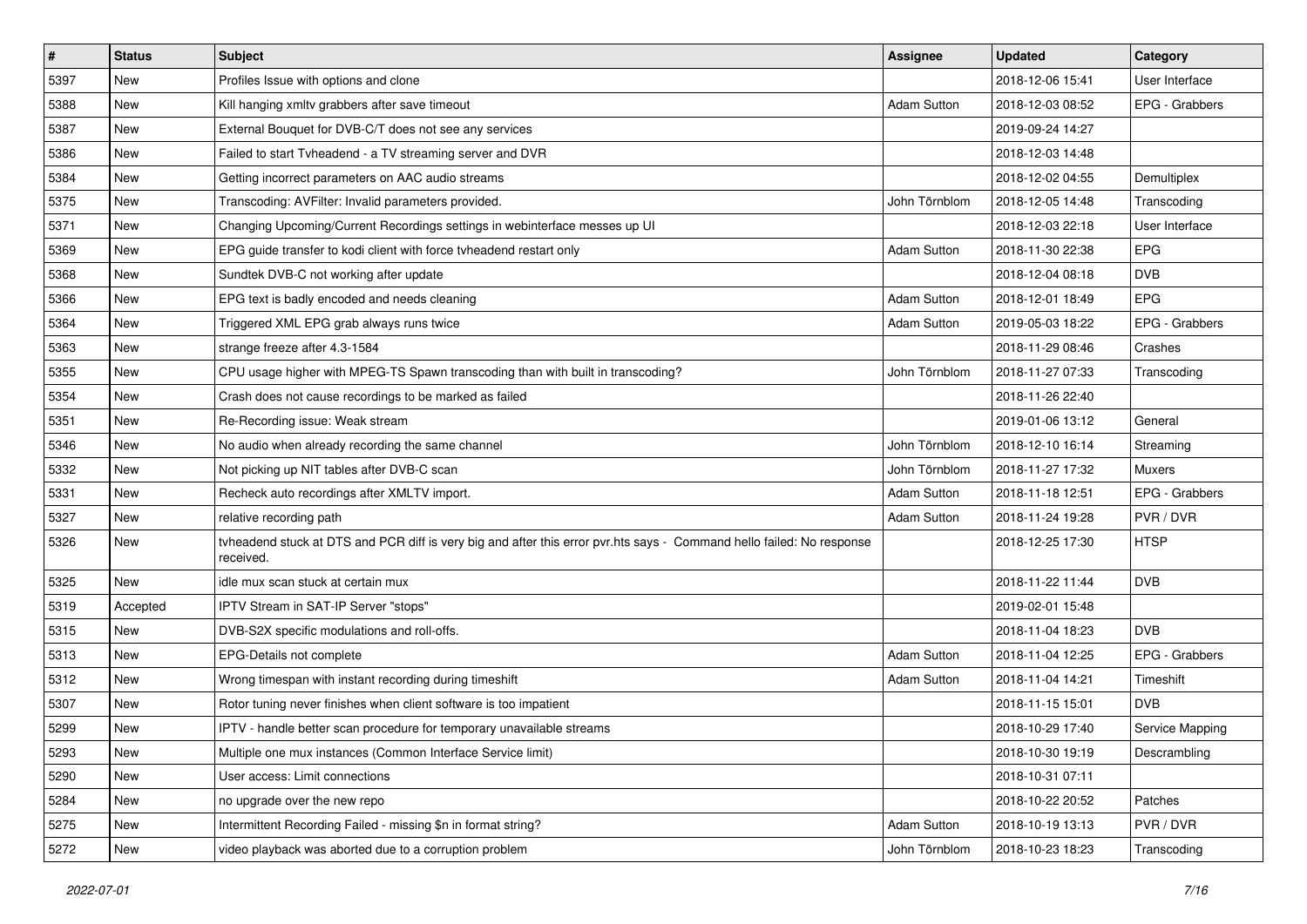| #    | <b>Status</b> | <b>Subject</b>                                                                                                                     | <b>Assignee</b>    | <b>Updated</b>   | Category        |
|------|---------------|------------------------------------------------------------------------------------------------------------------------------------|--------------------|------------------|-----------------|
| 5397 | New           | Profiles Issue with options and clone                                                                                              |                    | 2018-12-06 15:41 | User Interface  |
| 5388 | New           | Kill hanging xmltv grabbers after save timeout                                                                                     | <b>Adam Sutton</b> | 2018-12-03 08:52 | EPG - Grabbers  |
| 5387 | New           | External Bouquet for DVB-C/T does not see any services                                                                             |                    | 2019-09-24 14:27 |                 |
| 5386 | New           | Failed to start Tvheadend - a TV streaming server and DVR                                                                          |                    | 2018-12-03 14:48 |                 |
| 5384 | <b>New</b>    | Getting incorrect parameters on AAC audio streams                                                                                  |                    | 2018-12-02 04:55 | Demultiplex     |
| 5375 | New           | Transcoding: AVFilter: Invalid parameters provided.                                                                                | John Törnblom      | 2018-12-05 14:48 | Transcoding     |
| 5371 | <b>New</b>    | Changing Upcoming/Current Recordings settings in webinterface messes up UI                                                         |                    | 2018-12-03 22:18 | User Interface  |
| 5369 | New           | EPG guide transfer to kodi client with force tvheadend restart only                                                                | <b>Adam Sutton</b> | 2018-11-30 22:38 | <b>EPG</b>      |
| 5368 | New           | Sundtek DVB-C not working after update                                                                                             |                    | 2018-12-04 08:18 | <b>DVB</b>      |
| 5366 | <b>New</b>    | EPG text is badly encoded and needs cleaning                                                                                       | <b>Adam Sutton</b> | 2018-12-01 18:49 | <b>EPG</b>      |
| 5364 | New           | Triggered XML EPG grab always runs twice                                                                                           | <b>Adam Sutton</b> | 2019-05-03 18:22 | EPG - Grabbers  |
| 5363 | <b>New</b>    | strange freeze after 4.3-1584                                                                                                      |                    | 2018-11-29 08:46 | Crashes         |
| 5355 | New           | CPU usage higher with MPEG-TS Spawn transcoding than with built in transcoding?                                                    | John Törnblom      | 2018-11-27 07:33 | Transcoding     |
| 5354 | <b>New</b>    | Crash does not cause recordings to be marked as failed                                                                             |                    | 2018-11-26 22:40 |                 |
| 5351 | <b>New</b>    | Re-Recording issue: Weak stream                                                                                                    |                    | 2019-01-06 13:12 | General         |
| 5346 | <b>New</b>    | No audio when already recording the same channel                                                                                   | John Törnblom      | 2018-12-10 16:14 | Streaming       |
| 5332 | <b>New</b>    | Not picking up NIT tables after DVB-C scan                                                                                         | John Törnblom      | 2018-11-27 17:32 | <b>Muxers</b>   |
| 5331 | New           | Recheck auto recordings after XMLTV import.                                                                                        | <b>Adam Sutton</b> | 2018-11-18 12:51 | EPG - Grabbers  |
| 5327 | <b>New</b>    | relative recording path                                                                                                            | <b>Adam Sutton</b> | 2018-11-24 19:28 | PVR / DVR       |
| 5326 | New           | tvheadend stuck at DTS and PCR diff is very big and after this error pvr.hts says - Command hello failed: No response<br>received. |                    | 2018-12-25 17:30 | <b>HTSP</b>     |
| 5325 | <b>New</b>    | idle mux scan stuck at certain mux                                                                                                 |                    | 2018-11-22 11:44 | <b>DVB</b>      |
| 5319 | Accepted      | IPTV Stream in SAT-IP Server "stops"                                                                                               |                    | 2019-02-01 15:48 |                 |
| 5315 | New           | DVB-S2X specific modulations and roll-offs.                                                                                        |                    | 2018-11-04 18:23 | <b>DVB</b>      |
| 5313 | <b>New</b>    | EPG-Details not complete                                                                                                           | <b>Adam Sutton</b> | 2018-11-04 12:25 | EPG - Grabbers  |
| 5312 | New           | Wrong timespan with instant recording during timeshift                                                                             | <b>Adam Sutton</b> | 2018-11-04 14:21 | Timeshift       |
| 5307 | <b>New</b>    | Rotor tuning never finishes when client software is too impatient                                                                  |                    | 2018-11-15 15:01 | <b>DVB</b>      |
| 5299 | New           | IPTV - handle better scan procedure for temporary unavailable streams                                                              |                    | 2018-10-29 17:40 | Service Mapping |
| 5293 | New           | Multiple one mux instances (Common Interface Service limit)                                                                        |                    | 2018-10-30 19:19 | Descrambling    |
| 5290 | New           | User access: Limit connections                                                                                                     |                    | 2018-10-31 07:11 |                 |
| 5284 | New           | no upgrade over the new repo                                                                                                       |                    | 2018-10-22 20:52 | Patches         |
| 5275 | New           | Intermittent Recording Failed - missing \$n in format string?                                                                      | <b>Adam Sutton</b> | 2018-10-19 13:13 | PVR / DVR       |
| 5272 | New           | video playback was aborted due to a corruption problem                                                                             | John Törnblom      | 2018-10-23 18:23 | Transcoding     |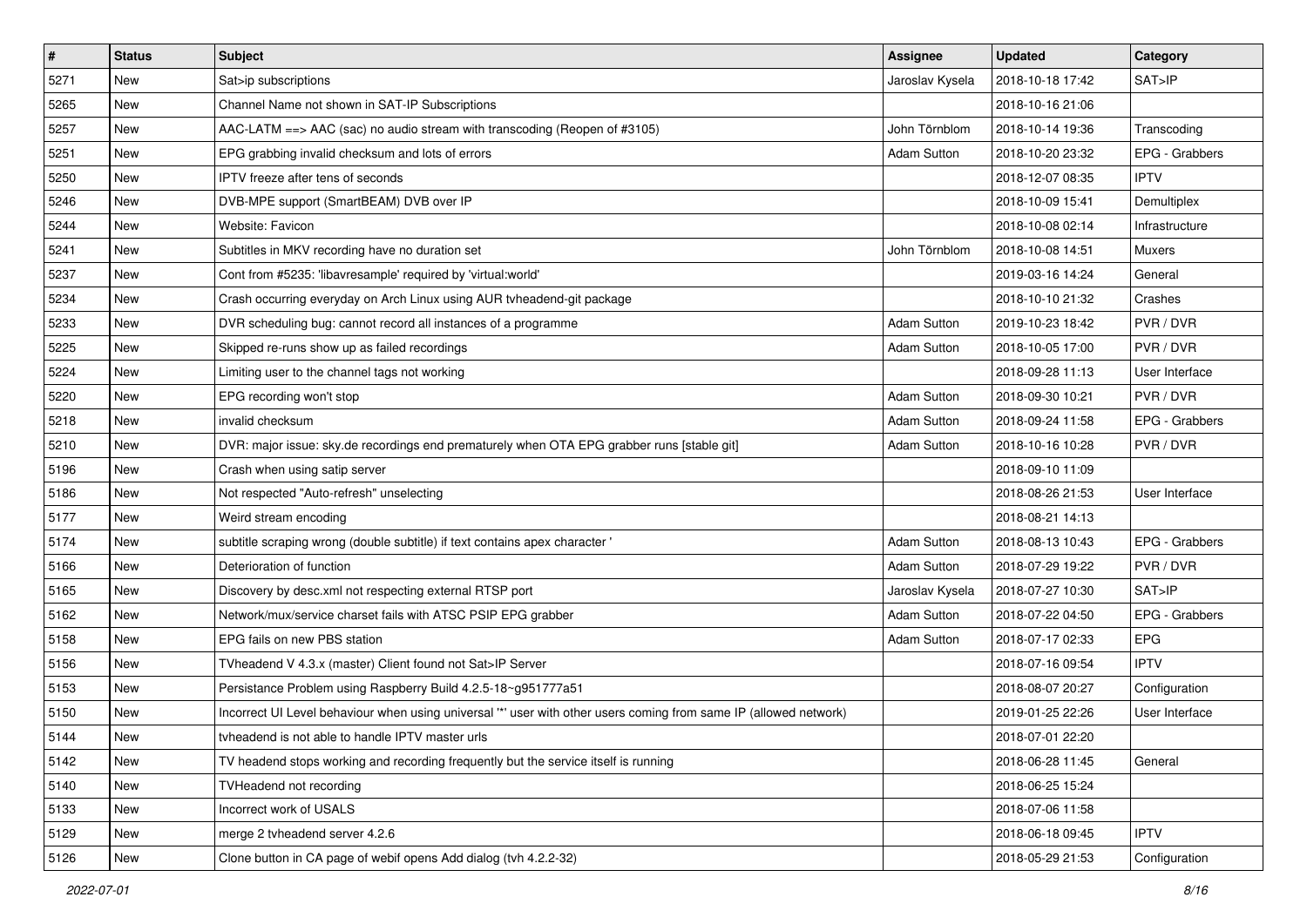| $\vert$ # | <b>Status</b> | <b>Subject</b>                                                                                                   | Assignee           | <b>Updated</b>   | Category       |
|-----------|---------------|------------------------------------------------------------------------------------------------------------------|--------------------|------------------|----------------|
| 5271      | New           | Sat>ip subscriptions                                                                                             | Jaroslav Kysela    | 2018-10-18 17:42 | SAT>IP         |
| 5265      | <b>New</b>    | Channel Name not shown in SAT-IP Subscriptions                                                                   |                    | 2018-10-16 21:06 |                |
| 5257      | <b>New</b>    | $AAC-LATM \nightharpoonup AAC$ (sac) no audio stream with transcoding (Reopen of #3105)                          | John Törnblom      | 2018-10-14 19:36 | Transcoding    |
| 5251      | New           | EPG grabbing invalid checksum and lots of errors                                                                 | Adam Sutton        | 2018-10-20 23:32 | EPG - Grabbers |
| 5250      | <b>New</b>    | <b>IPTV</b> freeze after tens of seconds                                                                         |                    | 2018-12-07 08:35 | <b>IPTV</b>    |
| 5246      | New           | DVB-MPE support (SmartBEAM) DVB over IP                                                                          |                    | 2018-10-09 15:41 | Demultiplex    |
| 5244      | <b>New</b>    | Website: Favicon                                                                                                 |                    | 2018-10-08 02:14 | Infrastructure |
| 5241      | New           | Subtitles in MKV recording have no duration set                                                                  | John Törnblom      | 2018-10-08 14:51 | <b>Muxers</b>  |
| 5237      | <b>New</b>    | Cont from #5235: 'libavresample' required by 'virtual:world'                                                     |                    | 2019-03-16 14:24 | General        |
| 5234      | <b>New</b>    | Crash occurring everyday on Arch Linux using AUR tvheadend-git package                                           |                    | 2018-10-10 21:32 | Crashes        |
| 5233      | <b>New</b>    | DVR scheduling bug: cannot record all instances of a programme                                                   | <b>Adam Sutton</b> | 2019-10-23 18:42 | PVR / DVR      |
| 5225      | New           | Skipped re-runs show up as failed recordings                                                                     | <b>Adam Sutton</b> | 2018-10-05 17:00 | PVR / DVR      |
| 5224      | New           | Limiting user to the channel tags not working                                                                    |                    | 2018-09-28 11:13 | User Interface |
| 5220      | New           | EPG recording won't stop                                                                                         | <b>Adam Sutton</b> | 2018-09-30 10:21 | PVR / DVR      |
| 5218      | <b>New</b>    | invalid checksum                                                                                                 | <b>Adam Sutton</b> | 2018-09-24 11:58 | EPG - Grabbers |
| 5210      | <b>New</b>    | DVR: major issue: sky.de recordings end prematurely when OTA EPG grabber runs [stable git]                       | <b>Adam Sutton</b> | 2018-10-16 10:28 | PVR / DVR      |
| 5196      | New           | Crash when using satip server                                                                                    |                    | 2018-09-10 11:09 |                |
| 5186      | <b>New</b>    | Not respected "Auto-refresh" unselecting                                                                         |                    | 2018-08-26 21:53 | User Interface |
| 5177      | New           | Weird stream encoding                                                                                            |                    | 2018-08-21 14:13 |                |
| 5174      | <b>New</b>    | subtitle scraping wrong (double subtitle) if text contains apex character '                                      | <b>Adam Sutton</b> | 2018-08-13 10:43 | EPG - Grabbers |
| 5166      | New           | Deterioration of function                                                                                        | Adam Sutton        | 2018-07-29 19:22 | PVR / DVR      |
| 5165      | <b>New</b>    | Discovery by desc.xml not respecting external RTSP port                                                          | Jaroslav Kysela    | 2018-07-27 10:30 | SAT > IP       |
| 5162      | <b>New</b>    | Network/mux/service charset fails with ATSC PSIP EPG grabber                                                     | <b>Adam Sutton</b> | 2018-07-22 04:50 | EPG - Grabbers |
| 5158      | New           | EPG fails on new PBS station                                                                                     | <b>Adam Sutton</b> | 2018-07-17 02:33 | <b>EPG</b>     |
| 5156      | <b>New</b>    | TVheadend V 4.3.x (master) Client found not Sat>IP Server                                                        |                    | 2018-07-16 09:54 | <b>IPTV</b>    |
| 5153      | New           | Persistance Problem using Raspberry Build 4.2.5-18~g951777a51                                                    |                    | 2018-08-07 20:27 | Configuration  |
| 5150      | New           | Incorrect UI Level behaviour when using universal "" user with other users coming from same IP (allowed network) |                    | 2019-01-25 22:26 | User Interface |
| 5144      | New           | tvheadend is not able to handle IPTV master urls                                                                 |                    | 2018-07-01 22:20 |                |
| 5142      | New           | TV headend stops working and recording frequently but the service itself is running                              |                    | 2018-06-28 11:45 | General        |
| 5140      | New           | <b>TVHeadend not recording</b>                                                                                   |                    | 2018-06-25 15:24 |                |
| 5133      | New           | Incorrect work of USALS                                                                                          |                    | 2018-07-06 11:58 |                |
| 5129      | New           | merge 2 tvheadend server 4.2.6                                                                                   |                    | 2018-06-18 09:45 | <b>IPTV</b>    |
| 5126      | New           | Clone button in CA page of webif opens Add dialog (tvh 4.2.2-32)                                                 |                    | 2018-05-29 21:53 | Configuration  |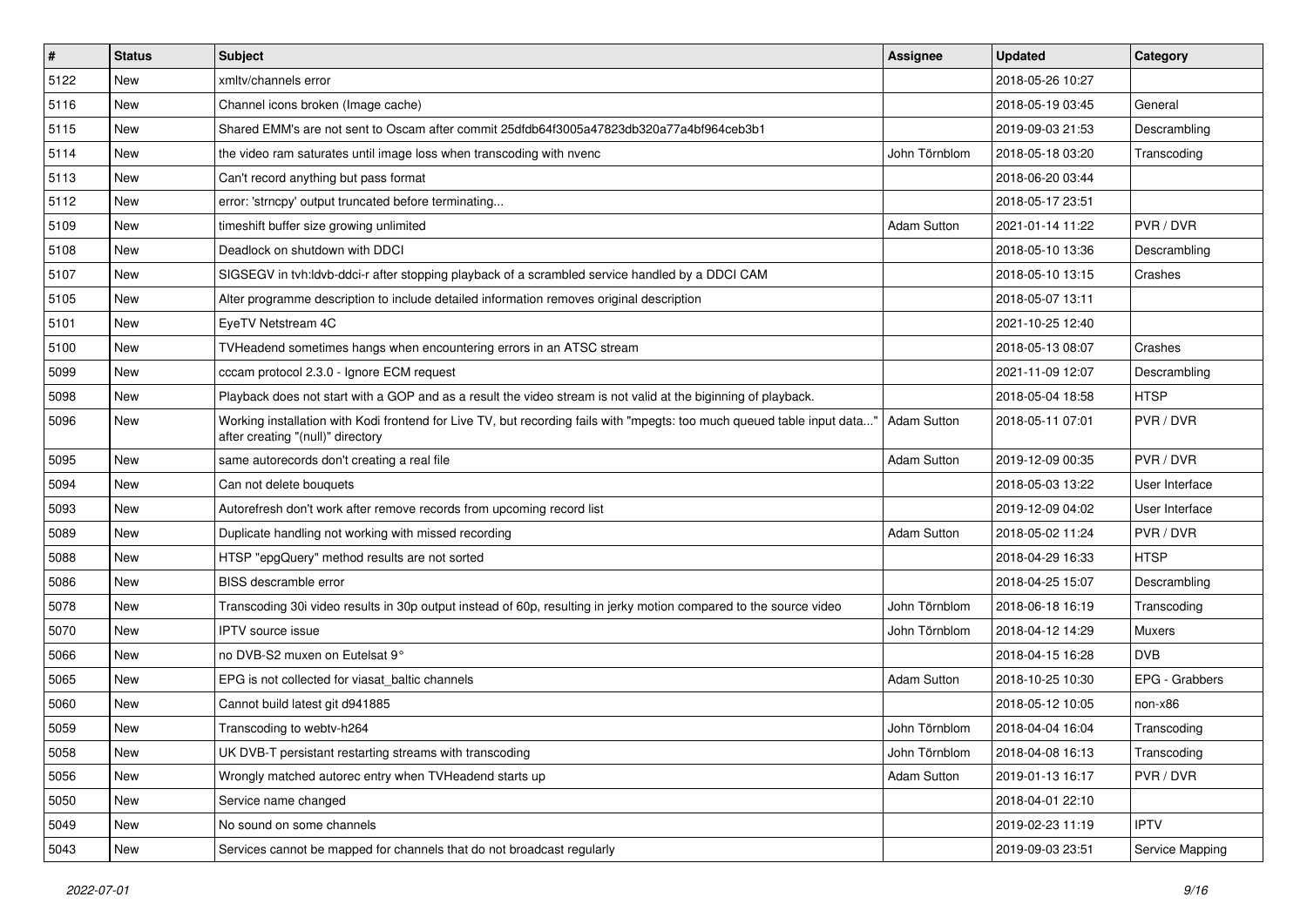| $\sharp$ | <b>Status</b> | Subject                                                                                                                                                       | <b>Assignee</b>    | <b>Updated</b>   | Category        |
|----------|---------------|---------------------------------------------------------------------------------------------------------------------------------------------------------------|--------------------|------------------|-----------------|
| 5122     | New           | xmltv/channels error                                                                                                                                          |                    | 2018-05-26 10:27 |                 |
| 5116     | <b>New</b>    | Channel icons broken (Image cache)                                                                                                                            |                    | 2018-05-19 03:45 | General         |
| 5115     | <b>New</b>    | Shared EMM's are not sent to Oscam after commit 25dfdb64f3005a47823db320a77a4bf964ceb3b1                                                                      |                    | 2019-09-03 21:53 | Descrambling    |
| 5114     | New           | the video ram saturates until image loss when transcoding with nvenc                                                                                          | John Törnblom      | 2018-05-18 03:20 | Transcoding     |
| 5113     | <b>New</b>    | Can't record anything but pass format                                                                                                                         |                    | 2018-06-20 03:44 |                 |
| 5112     | New           | error: 'strncpy' output truncated before terminating                                                                                                          |                    | 2018-05-17 23:51 |                 |
| 5109     | <b>New</b>    | timeshift buffer size growing unlimited                                                                                                                       | <b>Adam Sutton</b> | 2021-01-14 11:22 | PVR / DVR       |
| 5108     | New           | Deadlock on shutdown with DDCI                                                                                                                                |                    | 2018-05-10 13:36 | Descrambling    |
| 5107     | <b>New</b>    | SIGSEGV in tvh:ldvb-ddci-r after stopping playback of a scrambled service handled by a DDCI CAM                                                               |                    | 2018-05-10 13:15 | Crashes         |
| 5105     | New           | Alter programme description to include detailed information removes original description                                                                      |                    | 2018-05-07 13:11 |                 |
| 5101     | <b>New</b>    | EyeTV Netstream 4C                                                                                                                                            |                    | 2021-10-25 12:40 |                 |
| 5100     | New           | TVHeadend sometimes hangs when encountering errors in an ATSC stream                                                                                          |                    | 2018-05-13 08:07 | Crashes         |
| 5099     | New           | cccam protocol 2.3.0 - Ignore ECM request                                                                                                                     |                    | 2021-11-09 12:07 | Descrambling    |
| 5098     | <b>New</b>    | Playback does not start with a GOP and as a result the video stream is not valid at the biginning of playback.                                                |                    | 2018-05-04 18:58 | <b>HTSP</b>     |
| 5096     | New           | Working installation with Kodi frontend for Live TV, but recording fails with "mpegts: too much queued table input data'<br>after creating "(null)" directory | <b>Adam Sutton</b> | 2018-05-11 07:01 | PVR / DVR       |
| 5095     | New           | same autorecords don't creating a real file                                                                                                                   | <b>Adam Sutton</b> | 2019-12-09 00:35 | PVR / DVR       |
| 5094     | <b>New</b>    | Can not delete bouquets                                                                                                                                       |                    | 2018-05-03 13:22 | User Interface  |
| 5093     | New           | Autorefresh don't work after remove records from upcoming record list                                                                                         |                    | 2019-12-09 04:02 | User Interface  |
| 5089     | <b>New</b>    | Duplicate handling not working with missed recording                                                                                                          | <b>Adam Sutton</b> | 2018-05-02 11:24 | PVR / DVR       |
| 5088     | New           | HTSP "epgQuery" method results are not sorted                                                                                                                 |                    | 2018-04-29 16:33 | <b>HTSP</b>     |
| 5086     | New           | <b>BISS</b> descramble error                                                                                                                                  |                    | 2018-04-25 15:07 | Descrambling    |
| 5078     | New           | Transcoding 30i video results in 30p output instead of 60p, resulting in jerky motion compared to the source video                                            | John Törnblom      | 2018-06-18 16:19 | Transcoding     |
| 5070     | <b>New</b>    | <b>IPTV</b> source issue                                                                                                                                      | John Törnblom      | 2018-04-12 14:29 | Muxers          |
| 5066     | New           | no DVB-S2 muxen on Eutelsat 9°                                                                                                                                |                    | 2018-04-15 16:28 | <b>DVB</b>      |
| 5065     | <b>New</b>    | EPG is not collected for viasat baltic channels                                                                                                               | <b>Adam Sutton</b> | 2018-10-25 10:30 | EPG - Grabbers  |
| 5060     | New           | Cannot build latest git d941885                                                                                                                               |                    | 2018-05-12 10:05 | non-x86         |
| 5059     | New           | Transcoding to webtv-h264                                                                                                                                     | John Törnblom      | 2018-04-04 16:04 | Transcoding     |
| 5058     | New           | UK DVB-T persistant restarting streams with transcoding                                                                                                       | John Törnblom      | 2018-04-08 16:13 | Transcoding     |
| 5056     | New           | Wrongly matched autorec entry when TVHeadend starts up                                                                                                        | <b>Adam Sutton</b> | 2019-01-13 16:17 | PVR / DVR       |
| 5050     | New           | Service name changed                                                                                                                                          |                    | 2018-04-01 22:10 |                 |
| 5049     | New           | No sound on some channels                                                                                                                                     |                    | 2019-02-23 11:19 | <b>IPTV</b>     |
| 5043     | New           | Services cannot be mapped for channels that do not broadcast regularly                                                                                        |                    | 2019-09-03 23:51 | Service Mapping |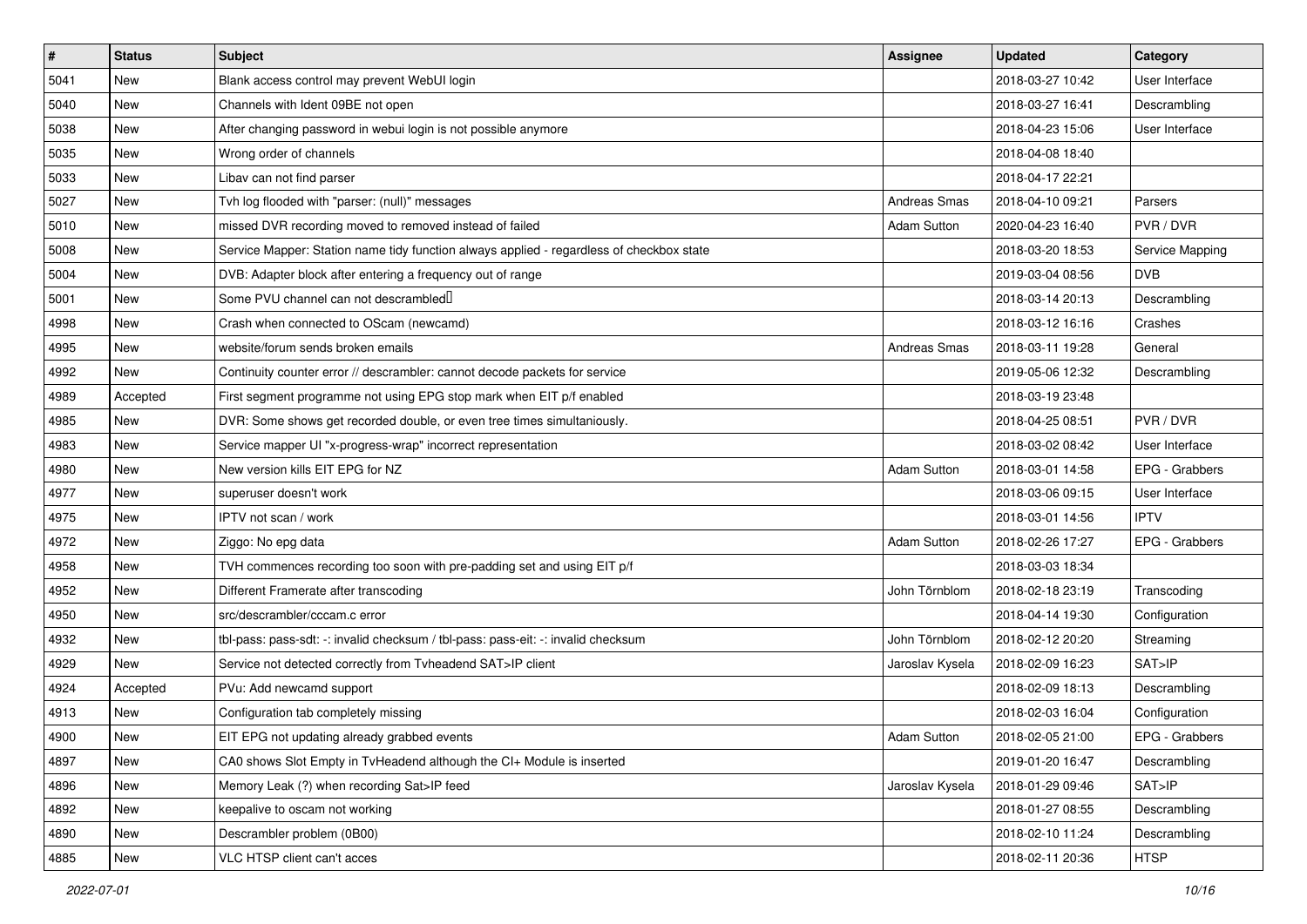| $\sharp$ | <b>Status</b> | <b>Subject</b>                                                                           | <b>Assignee</b>    | <b>Updated</b>   | Category        |
|----------|---------------|------------------------------------------------------------------------------------------|--------------------|------------------|-----------------|
| 5041     | <b>New</b>    | Blank access control may prevent WebUI login                                             |                    | 2018-03-27 10:42 | User Interface  |
| 5040     | New           | Channels with Ident 09BE not open                                                        |                    | 2018-03-27 16:41 | Descrambling    |
| 5038     | <b>New</b>    | After changing password in webui login is not possible anymore                           |                    | 2018-04-23 15:06 | User Interface  |
| 5035     | New           | Wrong order of channels                                                                  |                    | 2018-04-08 18:40 |                 |
| 5033     | <b>New</b>    | Libav can not find parser                                                                |                    | 2018-04-17 22:21 |                 |
| 5027     | New           | Tvh log flooded with "parser: (null)" messages                                           | Andreas Smas       | 2018-04-10 09:21 | Parsers         |
| 5010     | <b>New</b>    | missed DVR recording moved to removed instead of failed                                  | <b>Adam Sutton</b> | 2020-04-23 16:40 | PVR / DVR       |
| 5008     | New           | Service Mapper: Station name tidy function always applied - regardless of checkbox state |                    | 2018-03-20 18:53 | Service Mapping |
| 5004     | New           | DVB: Adapter block after entering a frequency out of range                               |                    | 2019-03-04 08:56 | <b>DVB</b>      |
| 5001     | <b>New</b>    | Some PVU channel can not descrambled <sup>[]</sup>                                       |                    | 2018-03-14 20:13 | Descrambling    |
| 4998     | New           | Crash when connected to OScam (newcamd)                                                  |                    | 2018-03-12 16:16 | Crashes         |
| 4995     | <b>New</b>    | website/forum sends broken emails                                                        | Andreas Smas       | 2018-03-11 19:28 | General         |
| 4992     | New           | Continuity counter error // descrambler: cannot decode packets for service               |                    | 2019-05-06 12:32 | Descrambling    |
| 4989     | Accepted      | First segment programme not using EPG stop mark when EIT p/f enabled                     |                    | 2018-03-19 23:48 |                 |
| 4985     | <b>New</b>    | DVR: Some shows get recorded double, or even tree times simultaniously.                  |                    | 2018-04-25 08:51 | PVR / DVR       |
| 4983     | <b>New</b>    | Service mapper UI "x-progress-wrap" incorrect representation                             |                    | 2018-03-02 08:42 | User Interface  |
| 4980     | <b>New</b>    | New version kills EIT EPG for NZ                                                         | <b>Adam Sutton</b> | 2018-03-01 14:58 | EPG - Grabbers  |
| 4977     | New           | superuser doesn't work                                                                   |                    | 2018-03-06 09:15 | User Interface  |
| 4975     | New           | IPTV not scan / work                                                                     |                    | 2018-03-01 14:56 | <b>IPTV</b>     |
| 4972     | <b>New</b>    | Ziggo: No epg data                                                                       | <b>Adam Sutton</b> | 2018-02-26 17:27 | EPG - Grabbers  |
| 4958     | New           | TVH commences recording too soon with pre-padding set and using EIT p/f                  |                    | 2018-03-03 18:34 |                 |
| 4952     | New           | Different Framerate after transcoding                                                    | John Törnblom      | 2018-02-18 23:19 | Transcoding     |
| 4950     | <b>New</b>    | src/descrambler/cccam.c error                                                            |                    | 2018-04-14 19:30 | Configuration   |
| 4932     | New           | tbl-pass: pass-sdt: -: invalid checksum / tbl-pass: pass-eit: -: invalid checksum        | John Törnblom      | 2018-02-12 20:20 | Streaming       |
| 4929     | <b>New</b>    | Service not detected correctly from Tvheadend SAT>IP client                              | Jaroslav Kysela    | 2018-02-09 16:23 | SAT>IP          |
| 4924     | Accepted      | PVu: Add newcamd support                                                                 |                    | 2018-02-09 18:13 | Descrambling    |
| 4913     | <b>New</b>    | Configuration tab completely missing                                                     |                    | 2018-02-03 16:04 | Configuration   |
| 4900     | New           | EIT EPG not updating already grabbed events                                              | Adam Sutton        | 2018-02-05 21:00 | EPG - Grabbers  |
| 4897     | New           | CA0 shows Slot Empty in TvHeadend although the CI+ Module is inserted                    |                    | 2019-01-20 16:47 | Descrambling    |
| 4896     | New           | Memory Leak (?) when recording Sat>IP feed                                               | Jaroslav Kysela    | 2018-01-29 09:46 | SAT>IP          |
| 4892     | New           | keepalive to oscam not working                                                           |                    | 2018-01-27 08:55 | Descrambling    |
| 4890     | New           | Descrambler problem (0B00)                                                               |                    | 2018-02-10 11:24 | Descrambling    |
| 4885     | New           | VLC HTSP client can't acces                                                              |                    | 2018-02-11 20:36 | <b>HTSP</b>     |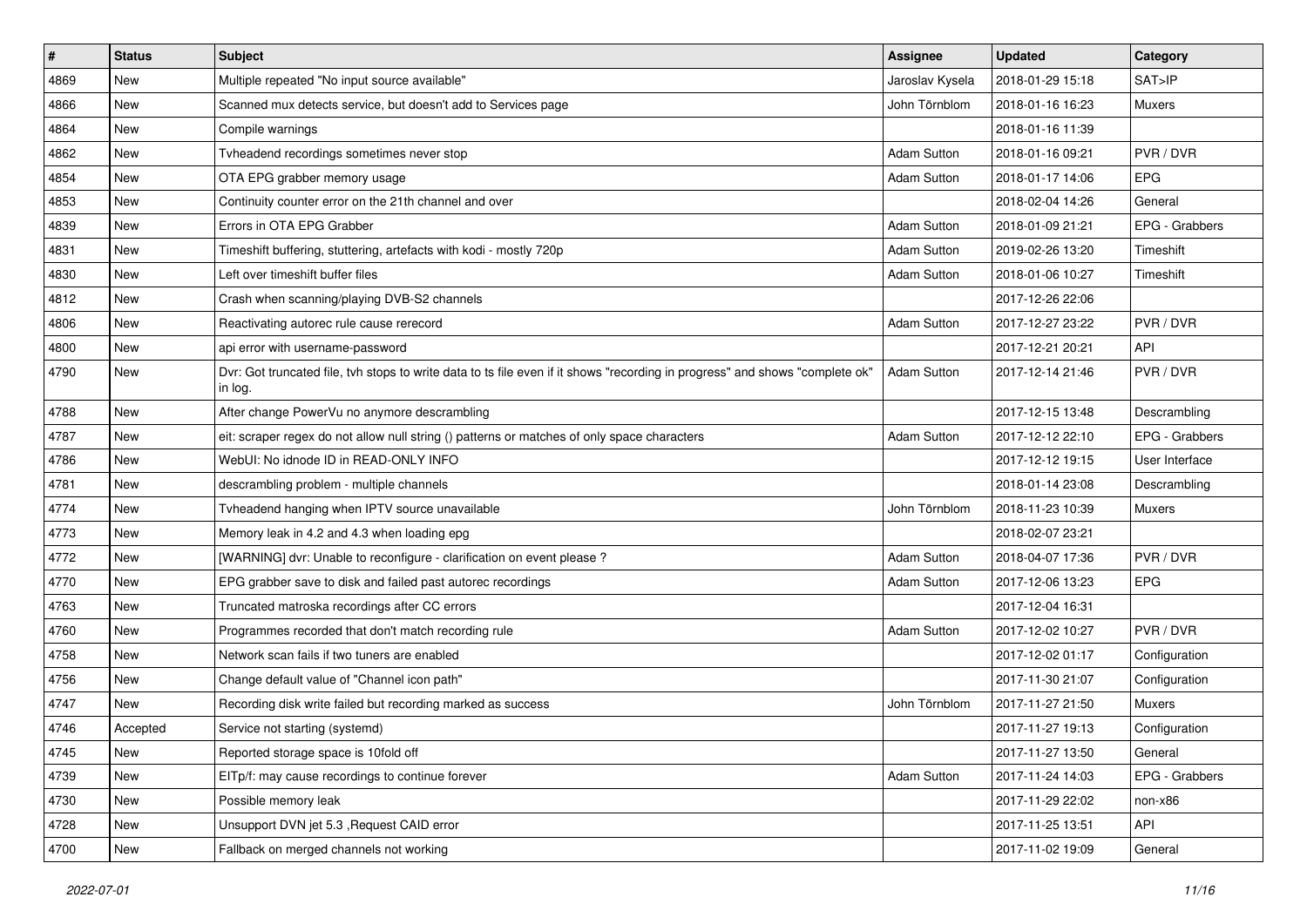| $\vert$ # | <b>Status</b> | <b>Subject</b>                                                                                                                          | Assignee           | <b>Updated</b>   | Category       |
|-----------|---------------|-----------------------------------------------------------------------------------------------------------------------------------------|--------------------|------------------|----------------|
| 4869      | New           | Multiple repeated "No input source available"                                                                                           | Jaroslav Kysela    | 2018-01-29 15:18 | SAT>IP         |
| 4866      | <b>New</b>    | Scanned mux detects service, but doesn't add to Services page                                                                           | John Törnblom      | 2018-01-16 16:23 | <b>Muxers</b>  |
| 4864      | <b>New</b>    | Compile warnings                                                                                                                        |                    | 2018-01-16 11:39 |                |
| 4862      | New           | Tvheadend recordings sometimes never stop                                                                                               | Adam Sutton        | 2018-01-16 09:21 | PVR / DVR      |
| 4854      | <b>New</b>    | OTA EPG grabber memory usage                                                                                                            | <b>Adam Sutton</b> | 2018-01-17 14:06 | <b>EPG</b>     |
| 4853      | New           | Continuity counter error on the 21th channel and over                                                                                   |                    | 2018-02-04 14:26 | General        |
| 4839      | <b>New</b>    | Errors in OTA EPG Grabber                                                                                                               | <b>Adam Sutton</b> | 2018-01-09 21:21 | EPG - Grabbers |
| 4831      | New           | Timeshift buffering, stuttering, artefacts with kodi - mostly 720p                                                                      | Adam Sutton        | 2019-02-26 13:20 | Timeshift      |
| 4830      | <b>New</b>    | Left over timeshift buffer files                                                                                                        | <b>Adam Sutton</b> | 2018-01-06 10:27 | Timeshift      |
| 4812      | <b>New</b>    | Crash when scanning/playing DVB-S2 channels                                                                                             |                    | 2017-12-26 22:06 |                |
| 4806      | <b>New</b>    | Reactivating autorec rule cause rerecord                                                                                                | <b>Adam Sutton</b> | 2017-12-27 23:22 | PVR / DVR      |
| 4800      | New           | api error with username-password                                                                                                        |                    | 2017-12-21 20:21 | <b>API</b>     |
| 4790      | New           | Dvr: Got truncated file, tvh stops to write data to ts file even if it shows "recording in progress" and shows "complete ok"<br>in log. | Adam Sutton        | 2017-12-14 21:46 | PVR / DVR      |
| 4788      | <b>New</b>    | After change PowerVu no anymore descrambling                                                                                            |                    | 2017-12-15 13:48 | Descrambling   |
| 4787      | New           | eit: scraper regex do not allow null string () patterns or matches of only space characters                                             | Adam Sutton        | 2017-12-12 22:10 | EPG - Grabbers |
| 4786      | New           | WebUI: No idnode ID in READ-ONLY INFO                                                                                                   |                    | 2017-12-12 19:15 | User Interface |
| 4781      | <b>New</b>    | descrambling problem - multiple channels                                                                                                |                    | 2018-01-14 23:08 | Descrambling   |
| 4774      | New           | Tvheadend hanging when IPTV source unavailable                                                                                          | John Törnblom      | 2018-11-23 10:39 | <b>Muxers</b>  |
| 4773      | <b>New</b>    | Memory leak in 4.2 and 4.3 when loading epg                                                                                             |                    | 2018-02-07 23:21 |                |
| 4772      | New           | [WARNING] dvr: Unable to reconfigure - clarification on event please ?                                                                  | <b>Adam Sutton</b> | 2018-04-07 17:36 | PVR / DVR      |
| 4770      | New           | EPG grabber save to disk and failed past autorec recordings                                                                             | <b>Adam Sutton</b> | 2017-12-06 13:23 | <b>EPG</b>     |
| 4763      | <b>New</b>    | Truncated matroska recordings after CC errors                                                                                           |                    | 2017-12-04 16:31 |                |
| 4760      | <b>New</b>    | Programmes recorded that don't match recording rule                                                                                     | <b>Adam Sutton</b> | 2017-12-02 10:27 | PVR / DVR      |
| 4758      | New           | Network scan fails if two tuners are enabled                                                                                            |                    | 2017-12-02 01:17 | Configuration  |
| 4756      | <b>New</b>    | Change default value of "Channel icon path"                                                                                             |                    | 2017-11-30 21:07 | Configuration  |
| 4747      | New           | Recording disk write failed but recording marked as success                                                                             | John Törnblom      | 2017-11-27 21:50 | <b>Muxers</b>  |
| 4746      | Accepted      | Service not starting (systemd)                                                                                                          |                    | 2017-11-27 19:13 | Configuration  |
| 4745      | New           | Reported storage space is 10fold off                                                                                                    |                    | 2017-11-27 13:50 | General        |
| 4739      | New           | EITp/f: may cause recordings to continue forever                                                                                        | Adam Sutton        | 2017-11-24 14:03 | EPG - Grabbers |
| 4730      | New           | Possible memory leak                                                                                                                    |                    | 2017-11-29 22:02 | non-x86        |
| 4728      | New           | Unsupport DVN jet 5.3, Request CAID error                                                                                               |                    | 2017-11-25 13:51 | API            |
| 4700      | New           | Fallback on merged channels not working                                                                                                 |                    | 2017-11-02 19:09 | General        |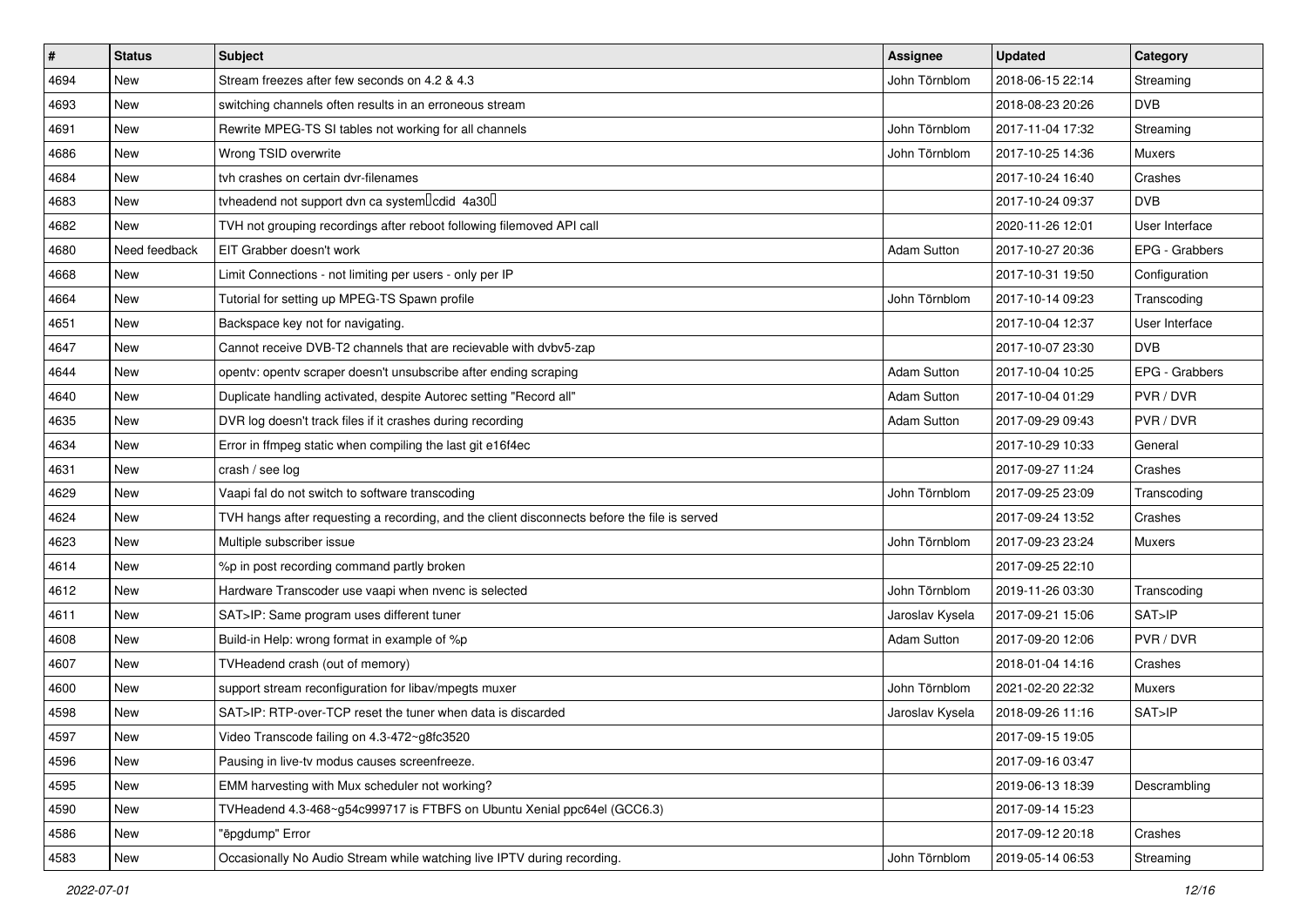| #    | <b>Status</b> | <b>Subject</b>                                                                               | Assignee           | <b>Updated</b>   | Category       |
|------|---------------|----------------------------------------------------------------------------------------------|--------------------|------------------|----------------|
| 4694 | New           | Stream freezes after few seconds on 4.2 & 4.3                                                | John Törnblom      | 2018-06-15 22:14 | Streaming      |
| 4693 | New           | switching channels often results in an erroneous stream                                      |                    | 2018-08-23 20:26 | <b>DVB</b>     |
| 4691 | New           | Rewrite MPEG-TS SI tables not working for all channels                                       | John Törnblom      | 2017-11-04 17:32 | Streaming      |
| 4686 | New           | Wrong TSID overwrite                                                                         | John Törnblom      | 2017-10-25 14:36 | Muxers         |
| 4684 | <b>New</b>    | tvh crashes on certain dvr-filenames                                                         |                    | 2017-10-24 16:40 | Crashes        |
| 4683 | New           | tvheadend not support dvn ca system Icdid 4a30                                               |                    | 2017-10-24 09:37 | <b>DVB</b>     |
| 4682 | <b>New</b>    | TVH not grouping recordings after reboot following filemoved API call                        |                    | 2020-11-26 12:01 | User Interface |
| 4680 | Need feedback | EIT Grabber doesn't work                                                                     | <b>Adam Sutton</b> | 2017-10-27 20:36 | EPG - Grabbers |
| 4668 | New           | Limit Connections - not limiting per users - only per IP                                     |                    | 2017-10-31 19:50 | Configuration  |
| 4664 | <b>New</b>    | Tutorial for setting up MPEG-TS Spawn profile                                                | John Törnblom      | 2017-10-14 09:23 | Transcoding    |
| 4651 | New           | Backspace key not for navigating.                                                            |                    | 2017-10-04 12:37 | User Interface |
| 4647 | <b>New</b>    | Cannot receive DVB-T2 channels that are recievable with dvbv5-zap                            |                    | 2017-10-07 23:30 | <b>DVB</b>     |
| 4644 | New           | opentv: opentv scraper doesn't unsubscribe after ending scraping                             | <b>Adam Sutton</b> | 2017-10-04 10:25 | EPG - Grabbers |
| 4640 | New           | Duplicate handling activated, despite Autorec setting "Record all"                           | <b>Adam Sutton</b> | 2017-10-04 01:29 | PVR / DVR      |
| 4635 | New           | DVR log doesn't track files if it crashes during recording                                   | Adam Sutton        | 2017-09-29 09:43 | PVR / DVR      |
| 4634 | <b>New</b>    | Error in ffmpeg static when compiling the last git e16f4ec                                   |                    | 2017-10-29 10:33 | General        |
| 4631 | New           | crash / see log                                                                              |                    | 2017-09-27 11:24 | Crashes        |
| 4629 | New           | Vaapi fal do not switch to software transcoding                                              | John Törnblom      | 2017-09-25 23:09 | Transcoding    |
| 4624 | New           | TVH hangs after requesting a recording, and the client disconnects before the file is served |                    | 2017-09-24 13:52 | Crashes        |
| 4623 | <b>New</b>    | Multiple subscriber issue                                                                    | John Törnblom      | 2017-09-23 23:24 | Muxers         |
| 4614 | New           | %p in post recording command partly broken                                                   |                    | 2017-09-25 22:10 |                |
| 4612 | New           | Hardware Transcoder use vaapi when nvenc is selected                                         | John Törnblom      | 2019-11-26 03:30 | Transcoding    |
| 4611 | <b>New</b>    | SAT>IP: Same program uses different tuner                                                    | Jaroslav Kysela    | 2017-09-21 15:06 | SAT>IP         |
| 4608 | New           | Build-in Help: wrong format in example of %p                                                 | Adam Sutton        | 2017-09-20 12:06 | PVR / DVR      |
| 4607 | <b>New</b>    | TVHeadend crash (out of memory)                                                              |                    | 2018-01-04 14:16 | Crashes        |
| 4600 | New           | support stream reconfiguration for libav/mpegts muxer                                        | John Törnblom      | 2021-02-20 22:32 | <b>Muxers</b>  |
| 4598 | New           | SAT>IP: RTP-over-TCP reset the tuner when data is discarded                                  | Jaroslav Kysela    | 2018-09-26 11:16 | SAT>IP         |
| 4597 | New           | Video Transcode failing on 4.3-472~g8fc3520                                                  |                    | 2017-09-15 19:05 |                |
| 4596 | New           | Pausing in live-tv modus causes screenfreeze.                                                |                    | 2017-09-16 03:47 |                |
| 4595 | New           | EMM harvesting with Mux scheduler not working?                                               |                    | 2019-06-13 18:39 | Descrambling   |
| 4590 | New           | TVHeadend 4.3-468~g54c999717 is FTBFS on Ubuntu Xenial ppc64el (GCC6.3)                      |                    | 2017-09-14 15:23 |                |
| 4586 | New           | "ëpgdump" Error                                                                              |                    | 2017-09-12 20:18 | Crashes        |
| 4583 | New           | Occasionally No Audio Stream while watching live IPTV during recording.                      | John Törnblom      | 2019-05-14 06:53 | Streaming      |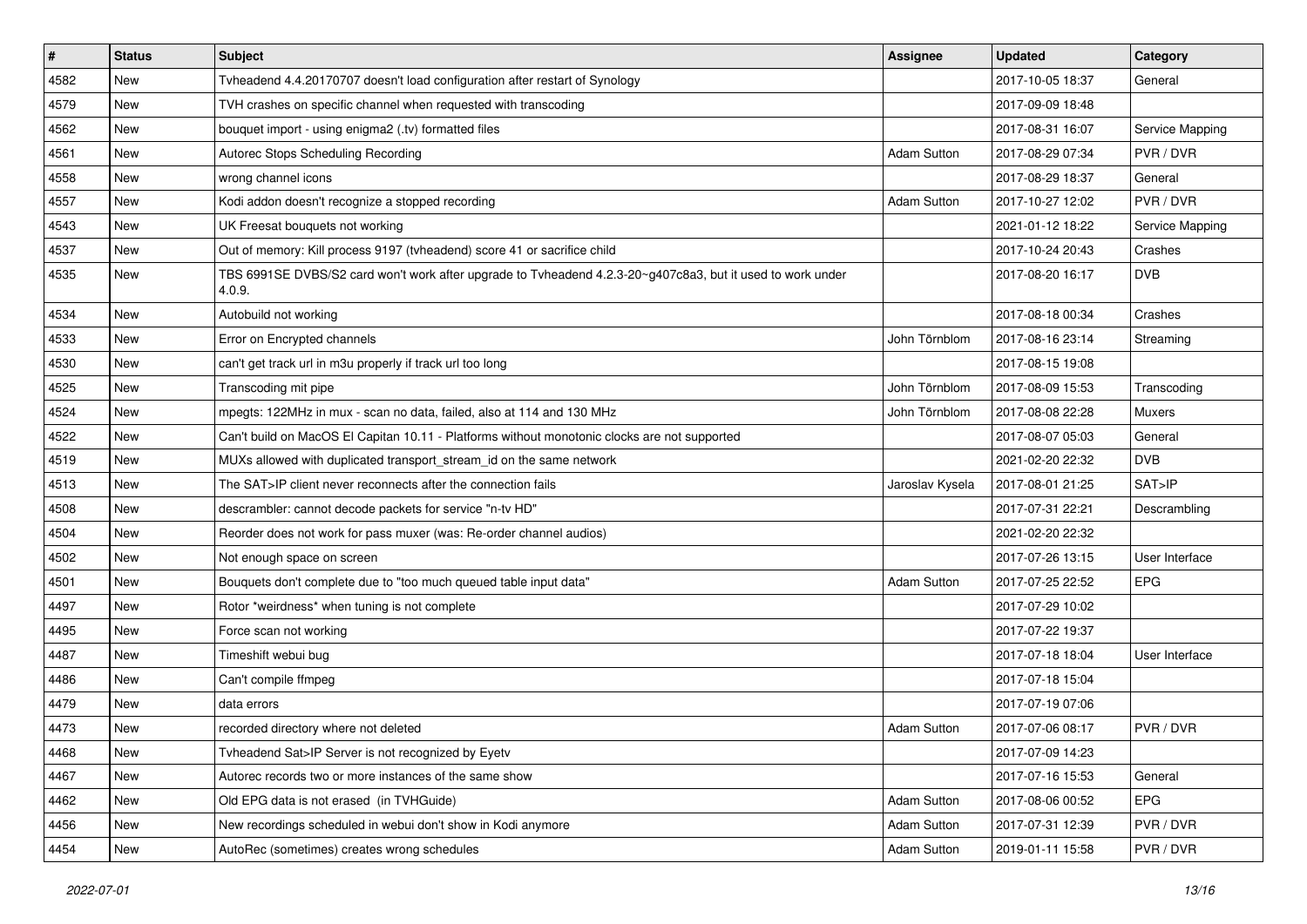| $\sharp$ | <b>Status</b> | <b>Subject</b>                                                                                                       | <b>Assignee</b>    | <b>Updated</b>   | Category        |
|----------|---------------|----------------------------------------------------------------------------------------------------------------------|--------------------|------------------|-----------------|
| 4582     | New           | Tvheadend 4.4.20170707 doesn't load configuration after restart of Synology                                          |                    | 2017-10-05 18:37 | General         |
| 4579     | <b>New</b>    | TVH crashes on specific channel when requested with transcoding                                                      |                    | 2017-09-09 18:48 |                 |
| 4562     | New           | bouquet import - using enigma2 (.tv) formatted files                                                                 |                    | 2017-08-31 16:07 | Service Mapping |
| 4561     | New           | Autorec Stops Scheduling Recording                                                                                   | <b>Adam Sutton</b> | 2017-08-29 07:34 | PVR / DVR       |
| 4558     | <b>New</b>    | wrong channel icons                                                                                                  |                    | 2017-08-29 18:37 | General         |
| 4557     | New           | Kodi addon doesn't recognize a stopped recording                                                                     | <b>Adam Sutton</b> | 2017-10-27 12:02 | PVR / DVR       |
| 4543     | <b>New</b>    | UK Freesat bouquets not working                                                                                      |                    | 2021-01-12 18:22 | Service Mapping |
| 4537     | New           | Out of memory: Kill process 9197 (tvheadend) score 41 or sacrifice child                                             |                    | 2017-10-24 20:43 | Crashes         |
| 4535     | <b>New</b>    | TBS 6991SE DVBS/S2 card won't work after upgrade to Tvheadend 4.2.3-20~g407c8a3, but it used to work under<br>4.0.9. |                    | 2017-08-20 16:17 | <b>DVB</b>      |
| 4534     | New           | Autobuild not working                                                                                                |                    | 2017-08-18 00:34 | Crashes         |
| 4533     | New           | Error on Encrypted channels                                                                                          | John Törnblom      | 2017-08-16 23:14 | Streaming       |
| 4530     | <b>New</b>    | can't get track url in m3u properly if track url too long                                                            |                    | 2017-08-15 19:08 |                 |
| 4525     | New           | Transcoding mit pipe                                                                                                 | John Törnblom      | 2017-08-09 15:53 | Transcoding     |
| 4524     | <b>New</b>    | mpegts: 122MHz in mux - scan no data, failed, also at 114 and 130 MHz                                                | John Törnblom      | 2017-08-08 22:28 | Muxers          |
| 4522     | New           | Can't build on MacOS El Capitan 10.11 - Platforms without monotonic clocks are not supported                         |                    | 2017-08-07 05:03 | General         |
| 4519     | New           | MUXs allowed with duplicated transport_stream_id on the same network                                                 |                    | 2021-02-20 22:32 | <b>DVB</b>      |
| 4513     | <b>New</b>    | The SAT>IP client never reconnects after the connection fails                                                        | Jaroslav Kysela    | 2017-08-01 21:25 | SAT>IP          |
| 4508     | New           | descrambler: cannot decode packets for service "n-tv HD"                                                             |                    | 2017-07-31 22:21 | Descrambling    |
| 4504     | <b>New</b>    | Reorder does not work for pass muxer (was: Re-order channel audios)                                                  |                    | 2021-02-20 22:32 |                 |
| 4502     | New           | Not enough space on screen                                                                                           |                    | 2017-07-26 13:15 | User Interface  |
| 4501     | New           | Bouquets don't complete due to "too much queued table input data"                                                    | <b>Adam Sutton</b> | 2017-07-25 22:52 | <b>EPG</b>      |
| 4497     | New           | Rotor *weirdness* when tuning is not complete                                                                        |                    | 2017-07-29 10:02 |                 |
| 4495     | <b>New</b>    | Force scan not working                                                                                               |                    | 2017-07-22 19:37 |                 |
| 4487     | New           | Timeshift webui bug                                                                                                  |                    | 2017-07-18 18:04 | User Interface  |
| 4486     | <b>New</b>    | Can't compile ffmpeg                                                                                                 |                    | 2017-07-18 15:04 |                 |
| 4479     | New           | data errors                                                                                                          |                    | 2017-07-19 07:06 |                 |
| 4473     | New           | recorded directory where not deleted                                                                                 | <b>Adam Sutton</b> | 2017-07-06 08:17 | PVR / DVR       |
| 4468     | New           | Tvheadend Sat>IP Server is not recognized by Eyetv                                                                   |                    | 2017-07-09 14:23 |                 |
| 4467     | New           | Autorec records two or more instances of the same show                                                               |                    | 2017-07-16 15:53 | General         |
| 4462     | New           | Old EPG data is not erased (in TVHGuide)                                                                             | Adam Sutton        | 2017-08-06 00:52 | <b>EPG</b>      |
| 4456     | New           | New recordings scheduled in webui don't show in Kodi anymore                                                         | <b>Adam Sutton</b> | 2017-07-31 12:39 | PVR / DVR       |
| 4454     | New           | AutoRec (sometimes) creates wrong schedules                                                                          | <b>Adam Sutton</b> | 2019-01-11 15:58 | PVR / DVR       |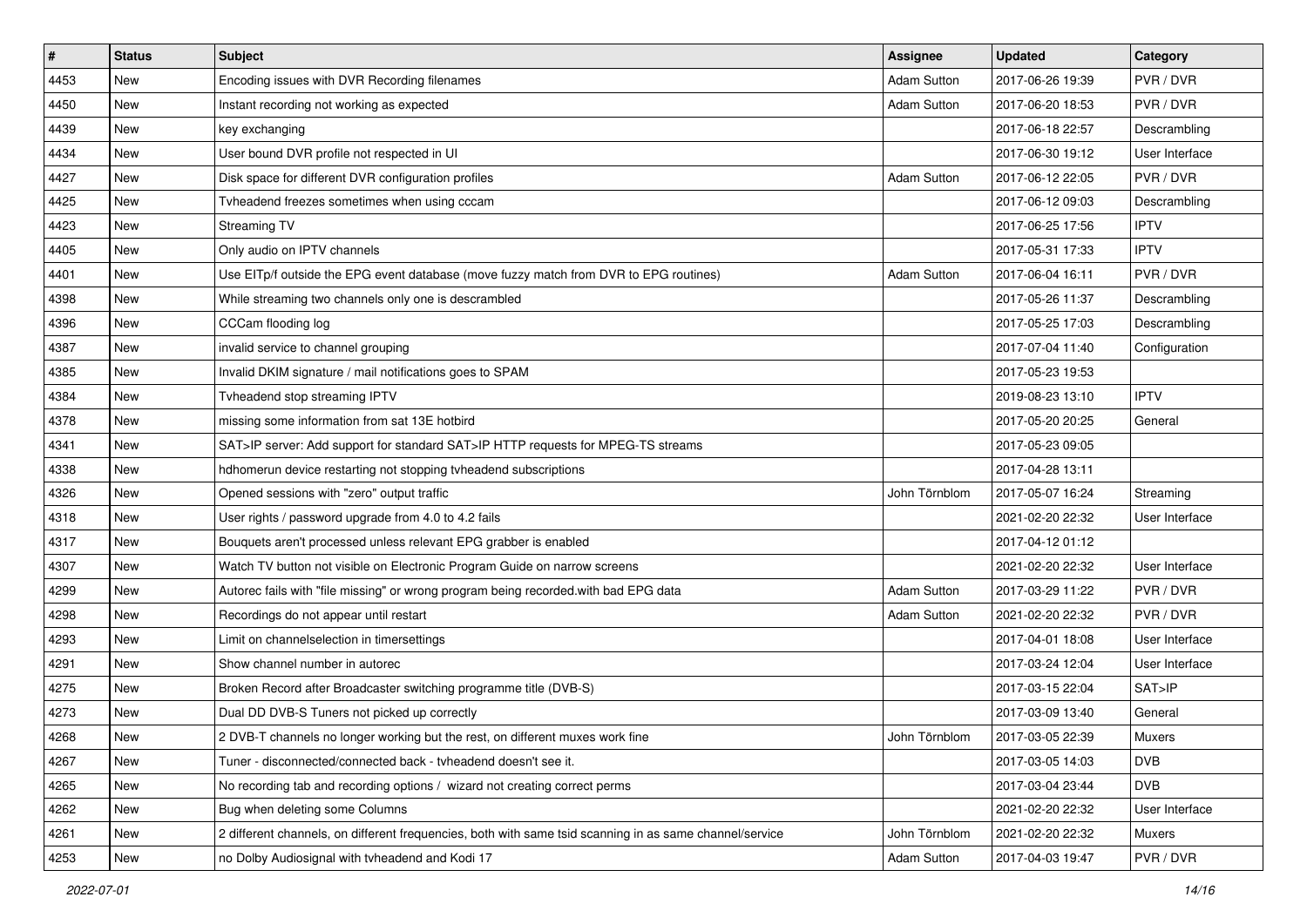| #    | <b>Status</b> | <b>Subject</b>                                                                                          | Assignee           | <b>Updated</b>   | Category       |
|------|---------------|---------------------------------------------------------------------------------------------------------|--------------------|------------------|----------------|
| 4453 | New           | Encoding issues with DVR Recording filenames                                                            | <b>Adam Sutton</b> | 2017-06-26 19:39 | PVR / DVR      |
| 4450 | New           | Instant recording not working as expected                                                               | <b>Adam Sutton</b> | 2017-06-20 18:53 | PVR / DVR      |
| 4439 | New           | key exchanging                                                                                          |                    | 2017-06-18 22:57 | Descrambling   |
| 4434 | New           | User bound DVR profile not respected in UI                                                              |                    | 2017-06-30 19:12 | User Interface |
| 4427 | <b>New</b>    | Disk space for different DVR configuration profiles                                                     | Adam Sutton        | 2017-06-12 22:05 | PVR / DVR      |
| 4425 | New           | Tyheadend freezes sometimes when using cccam                                                            |                    | 2017-06-12 09:03 | Descrambling   |
| 4423 | <b>New</b>    | Streaming TV                                                                                            |                    | 2017-06-25 17:56 | <b>IPTV</b>    |
| 4405 | New           | Only audio on IPTV channels                                                                             |                    | 2017-05-31 17:33 | <b>IPTV</b>    |
| 4401 | New           | Use EITp/f outside the EPG event database (move fuzzy match from DVR to EPG routines)                   | Adam Sutton        | 2017-06-04 16:11 | PVR / DVR      |
| 4398 | <b>New</b>    | While streaming two channels only one is descrambled                                                    |                    | 2017-05-26 11:37 | Descrambling   |
| 4396 | New           | CCCam flooding log                                                                                      |                    | 2017-05-25 17:03 | Descrambling   |
| 4387 | <b>New</b>    | invalid service to channel grouping                                                                     |                    | 2017-07-04 11:40 | Configuration  |
| 4385 | New           | Invalid DKIM signature / mail notifications goes to SPAM                                                |                    | 2017-05-23 19:53 |                |
| 4384 | New           | Tvheadend stop streaming IPTV                                                                           |                    | 2019-08-23 13:10 | <b>IPTV</b>    |
| 4378 | New           | missing some information from sat 13E hotbird                                                           |                    | 2017-05-20 20:25 | General        |
| 4341 | New           | SAT>IP server: Add support for standard SAT>IP HTTP requests for MPEG-TS streams                        |                    | 2017-05-23 09:05 |                |
| 4338 | New           | hdhomerun device restarting not stopping tvheadend subscriptions                                        |                    | 2017-04-28 13:11 |                |
| 4326 | New           | Opened sessions with "zero" output traffic                                                              | John Törnblom      | 2017-05-07 16:24 | Streaming      |
| 4318 | New           | User rights / password upgrade from 4.0 to 4.2 fails                                                    |                    | 2021-02-20 22:32 | User Interface |
| 4317 | <b>New</b>    | Bouquets aren't processed unless relevant EPG grabber is enabled                                        |                    | 2017-04-12 01:12 |                |
| 4307 | New           | Watch TV button not visible on Electronic Program Guide on narrow screens                               |                    | 2021-02-20 22:32 | User Interface |
| 4299 | New           | Autorec fails with "file missing" or wrong program being recorded.with bad EPG data                     | Adam Sutton        | 2017-03-29 11:22 | PVR / DVR      |
| 4298 | <b>New</b>    | Recordings do not appear until restart                                                                  | <b>Adam Sutton</b> | 2021-02-20 22:32 | PVR / DVR      |
| 4293 | New           | Limit on channelselection in timersettings                                                              |                    | 2017-04-01 18:08 | User Interface |
| 4291 | <b>New</b>    | Show channel number in autorec                                                                          |                    | 2017-03-24 12:04 | User Interface |
| 4275 | New           | Broken Record after Broadcaster switching programme title (DVB-S)                                       |                    | 2017-03-15 22:04 | SAT>IP         |
| 4273 | New           | Dual DD DVB-S Tuners not picked up correctly                                                            |                    | 2017-03-09 13:40 | General        |
| 4268 | New           | 2 DVB-T channels no longer working but the rest, on different muxes work fine                           | John Törnblom      | 2017-03-05 22:39 | Muxers         |
| 4267 | New           | Tuner - disconnected/connected back - tvheadend doesn't see it.                                         |                    | 2017-03-05 14:03 | <b>DVB</b>     |
| 4265 | New           | No recording tab and recording options / wizard not creating correct perms                              |                    | 2017-03-04 23:44 | <b>DVB</b>     |
| 4262 | New           | Bug when deleting some Columns                                                                          |                    | 2021-02-20 22:32 | User Interface |
| 4261 | New           | 2 different channels, on different frequencies, both with same tsid scanning in as same channel/service | John Törnblom      | 2021-02-20 22:32 | Muxers         |
| 4253 | New           | no Dolby Audiosignal with tvheadend and Kodi 17                                                         | <b>Adam Sutton</b> | 2017-04-03 19:47 | PVR / DVR      |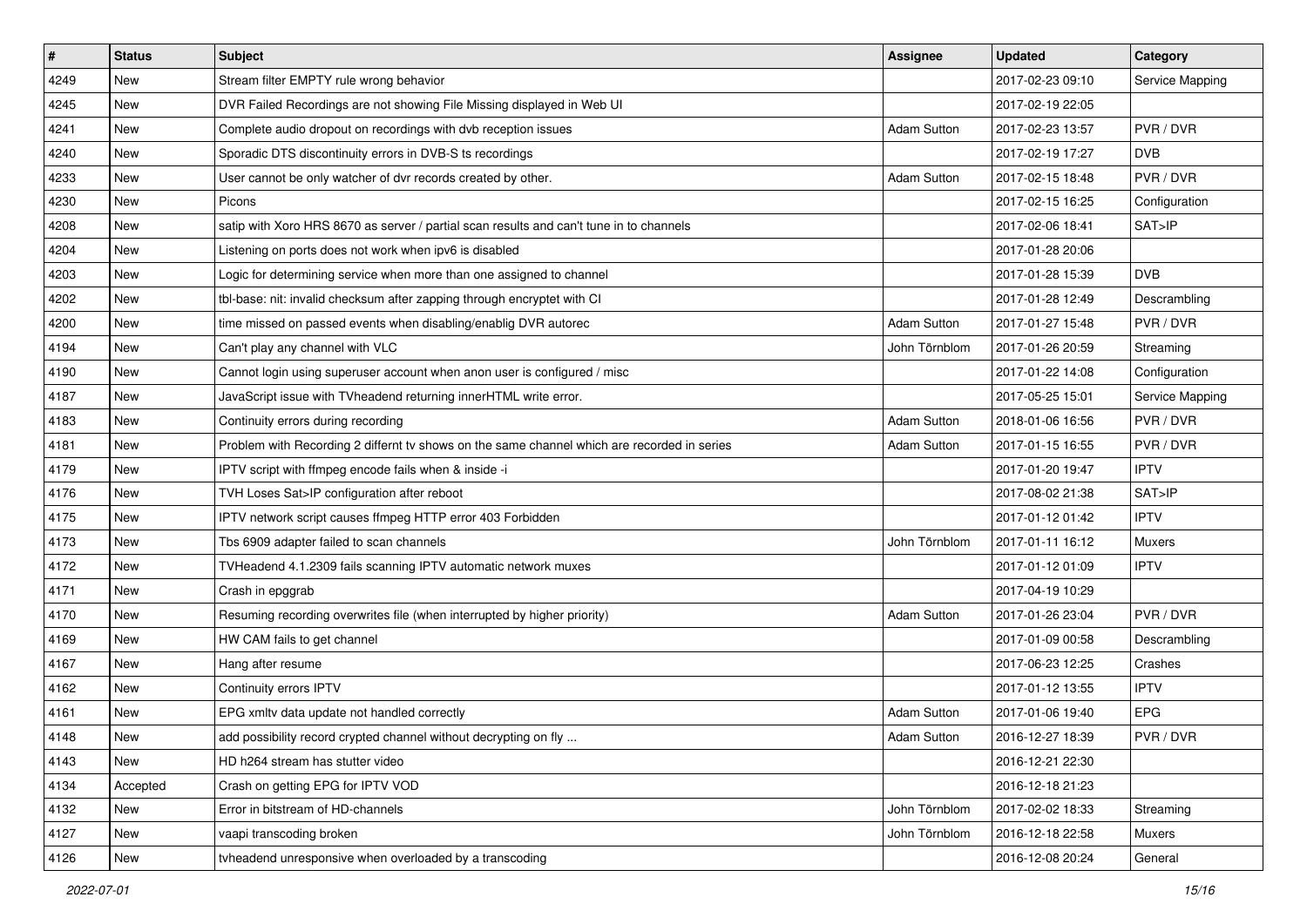| $\sharp$ | <b>Status</b> | <b>Subject</b>                                                                              | <b>Assignee</b>    | <b>Updated</b>   | Category        |
|----------|---------------|---------------------------------------------------------------------------------------------|--------------------|------------------|-----------------|
| 4249     | New           | Stream filter EMPTY rule wrong behavior                                                     |                    | 2017-02-23 09:10 | Service Mapping |
| 4245     | <b>New</b>    | DVR Failed Recordings are not showing File Missing displayed in Web UI                      |                    | 2017-02-19 22:05 |                 |
| 4241     | New           | Complete audio dropout on recordings with dvb reception issues                              | <b>Adam Sutton</b> | 2017-02-23 13:57 | PVR / DVR       |
| 4240     | New           | Sporadic DTS discontinuity errors in DVB-S ts recordings                                    |                    | 2017-02-19 17:27 | <b>DVB</b>      |
| 4233     | <b>New</b>    | User cannot be only watcher of dvr records created by other.                                | <b>Adam Sutton</b> | 2017-02-15 18:48 | PVR / DVR       |
| 4230     | New           | Picons                                                                                      |                    | 2017-02-15 16:25 | Configuration   |
| 4208     | <b>New</b>    | satip with Xoro HRS 8670 as server / partial scan results and can't tune in to channels     |                    | 2017-02-06 18:41 | SAT>IP          |
| 4204     | New           | Listening on ports does not work when ipv6 is disabled                                      |                    | 2017-01-28 20:06 |                 |
| 4203     | <b>New</b>    | Logic for determining service when more than one assigned to channel                        |                    | 2017-01-28 15:39 | <b>DVB</b>      |
| 4202     | New           | tbl-base: nit: invalid checksum after zapping through encryptet with CI                     |                    | 2017-01-28 12:49 | Descrambling    |
| 4200     | <b>New</b>    | time missed on passed events when disabling/enablig DVR autorec                             | <b>Adam Sutton</b> | 2017-01-27 15:48 | PVR / DVR       |
| 4194     | New           | Can't play any channel with VLC                                                             | John Törnblom      | 2017-01-26 20:59 | Streaming       |
| 4190     | New           | Cannot login using superuser account when anon user is configured / misc                    |                    | 2017-01-22 14:08 | Configuration   |
| 4187     | New           | JavaScript issue with TVheadend returning innerHTML write error.                            |                    | 2017-05-25 15:01 | Service Mapping |
| 4183     | New           | Continuity errors during recording                                                          | <b>Adam Sutton</b> | 2018-01-06 16:56 | PVR / DVR       |
| 4181     | New           | Problem with Recording 2 differnt tv shows on the same channel which are recorded in series | <b>Adam Sutton</b> | 2017-01-15 16:55 | PVR / DVR       |
| 4179     | New           | IPTV script with ffmpeg encode fails when & inside -i                                       |                    | 2017-01-20 19:47 | <b>IPTV</b>     |
| 4176     | <b>New</b>    | TVH Loses Sat>IP configuration after reboot                                                 |                    | 2017-08-02 21:38 | SAT>IP          |
| 4175     | New           | IPTV network script causes ffmpeg HTTP error 403 Forbidden                                  |                    | 2017-01-12 01:42 | <b>IPTV</b>     |
| 4173     | <b>New</b>    | Tbs 6909 adapter failed to scan channels                                                    | John Törnblom      | 2017-01-11 16:12 | Muxers          |
| 4172     | New           | TVHeadend 4.1.2309 fails scanning IPTV automatic network muxes                              |                    | 2017-01-12 01:09 | <b>IPTV</b>     |
| 4171     | <b>New</b>    | Crash in epggrab                                                                            |                    | 2017-04-19 10:29 |                 |
| 4170     | <b>New</b>    | Resuming recording overwrites file (when interrupted by higher priority)                    | <b>Adam Sutton</b> | 2017-01-26 23:04 | PVR / DVR       |
| 4169     | New           | HW CAM fails to get channel                                                                 |                    | 2017-01-09 00:58 | Descrambling    |
| 4167     | <b>New</b>    | Hang after resume                                                                           |                    | 2017-06-23 12:25 | Crashes         |
| 4162     | New           | Continuity errors IPTV                                                                      |                    | 2017-01-12 13:55 | <b>IPTV</b>     |
| 4161     | New           | EPG xmltv data update not handled correctly                                                 | <b>Adam Sutton</b> | 2017-01-06 19:40 | <b>EPG</b>      |
| 4148     | New           | add possibility record crypted channel without decrypting on fly                            | Adam Sutton        | 2016-12-27 18:39 | PVR / DVR       |
| 4143     | New           | HD h264 stream has stutter video                                                            |                    | 2016-12-21 22:30 |                 |
| 4134     | Accepted      | Crash on getting EPG for IPTV VOD                                                           |                    | 2016-12-18 21:23 |                 |
| 4132     | New           | Error in bitstream of HD-channels                                                           | John Törnblom      | 2017-02-02 18:33 | Streaming       |
| 4127     | New           | vaapi transcoding broken                                                                    | John Törnblom      | 2016-12-18 22:58 | Muxers          |
| 4126     | New           | tyheadend unresponsive when overloaded by a transcoding                                     |                    | 2016-12-08 20:24 | General         |